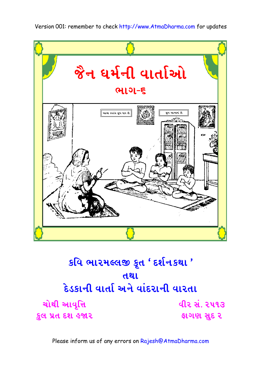

#### કવિ ભારમલ્લજી કૃત ' દર્શનકથા ' તથા દેડકાની વાર્તા અને વાંદરાની વારતા ચોથી આવૃત્તિ વીર સં. ૨૫૧૩ કુલ પ્રત દશ હજાર ફાગણ સુદ ૨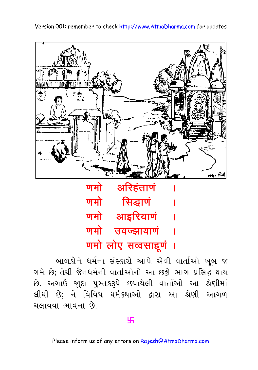eega tiid णमो अरिहंताणं णमो सिद्धाणं

Version 001: remember to check http://www.AtmaDharma.com for updates

णमो आइरियाणं णमो उवज्झायाणं णमो लोए सव्वसाहूणं ।

બાળકોને ધર્મના સંસ્કારો આપે એવી વાર્તાઓ ખબ જ ગમે છે; તેથી જૈનધર્મની વાર્તાઓનો આ છઢો ભાગ પ્રસિદ્ધ થાય છે. અગાઉ જાદા પુસ્તકરૂપે છપાયેલી વાર્તાઓ આ શ્રેણીમાં લીધી છે; ને વિવિધ ધર્મકથાઓ દ્વારા આ શ્રેણી આગળ ચલાવવા ભાવના છે.

#### 卐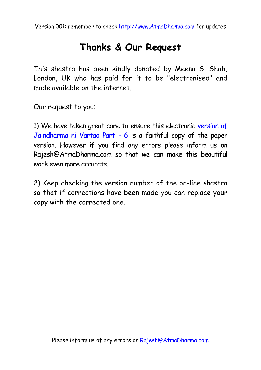## **Thanks & Our Request**

This shastra has been kindly donated by Meena S. Shah, London, UK who has paid for it to be "electronised" and made available on the internet.

Our request to you:

1) We have taken great care to ensure this electronic version of Jaindharma ni Vartao Part - 6 is a faithful copy of the paper version. However if you find any errors please inform us on Rajesh@AtmaDharma.com so that we can make this beautiful work even more accurate.

2) Keep checking the version number of the on-line shastra so that if corrections have been made you can replace your copy with the corrected one.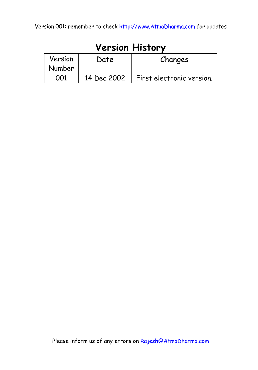| <b>Version History</b> |             |                           |
|------------------------|-------------|---------------------------|
| Version                | Date        | Changes                   |
| Number                 |             |                           |
|                        | 14 Dec 2002 | First electronic version. |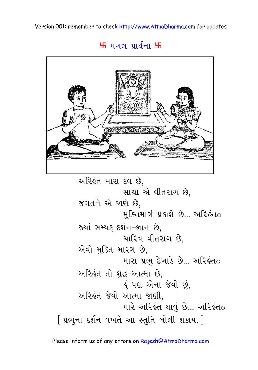### **5 મંગલ પ્રા**ર્થના 5



```
અરિહંત મારા દેવ છે,
                   સાચા એ વીતરાગ છે,
      જગતને એ જાણે છે,
                   મુક્તિમાર્ગ પ્રકાશે છે... અરિહંત૦
      જ્યાં સમ્યક દર્શન-જ્ઞાન છે.
                   ચારિત્ર વીતરાગ છે.
      એવો મુક્તિ–મારગ છે,
                   મારા પ્રભુ દેખાડે છે... અરિલંતo
      અરિહંત તો શુદ્ધ-આત્મા છે,
                   હું પણ એના જેવો છું,
      અરિલંત જેવો આત્મા જાણી.
                   મારે અરિહંત થાવું છે... અરિહંત૦
[ પ્રભુના દર્શન વખતે આ સ્તુતિ બોલી શકાય. ]
```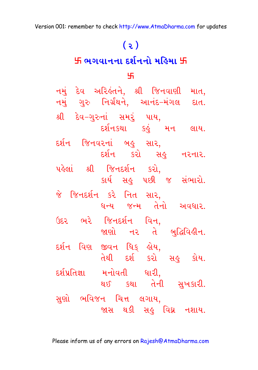# $(5)$

### 卐 ભગવાનના દર્શનનો મહિમા 卐

#### 45.

નમું દેવ અરિહંતને, શ્રી જિનવાણી માત, નમું ગુરુ નિર્ગ્રંથને, આનંદ–મંગલ દાત. શ્રી દેવ–ગુરુનાં સમરું પાય, દર્શનકથા કહું મન લાય. દર્શન જિનવરનાં બહુ સાર, દર્શન કરો સહુ નરનાર. પહેલાં શ્રી જિનદર્શન કરો, કાર્ય સહુ પછી જ સંભારો. જે જિનદર્શન કરે નિત સાર, ધન્ય જન્મ તેનો અવધાર. ઉદર ભરે જિનદર્શન વિન, જાણો નર ત<sup>ે</sup> બુદ્ધિવિહીન. દર્શન વિણ જીવન ધિક્ હોય, તેથી દર્શ કરો સહુ કોય. દર્શપ્રતિજ્ઞા મનોવતી ધારી, થઈ કથા તેની સુખકારી. સુણો ભવિજન ચિત્ત લગાય, જાસ થકી સહુ વિઘ્ન નશાય.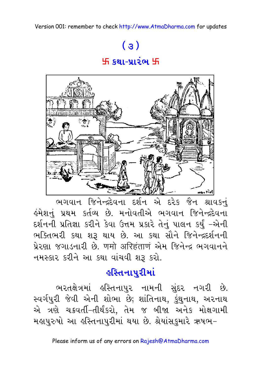# $\left( 3\right)$ 出 શ્થા-પ્રારંભ 出



ભગવાન જિનેન્દ્રદેવના દર્શન એ દરેક જૈન શ્રાવકનું હંમેશનું પ્રથમ કર્તવ્ય છે. મનોવતીએ ભગવાન જિનેન્દ્રદેવના દર્શનની પ્રતિજ્ઞા કરીને કેવા ઉત્તમ પ્રકારે તેનું પાલન કર્યું -એની ભક્તિભરી કથા શરૂ થાય છે. આ કથા સૌને જિનેન્દ્રદર્શનની પ્રેરણા જગાડનારી છે. णमो अरिहंताणं એમ જિનેન્દ્ર ભગવાનને નમસ્કાર કરીને આ કથા વાંચવી શરૂ કરો.

## ૬સ્તિનાપરીમાં

ભરતક્ષેત્રમાં હસ્તિનાપુર નામની સુંદર નગરી છે. સ્વર્ગપુરી જેવી એની શોભા છે; શાંતિનાથ, કુંથુનાથ, અરનાથ એ ત્રણે ચક્રવર્તી-તીર્થંકરો, તેમ જ બીજા અનેક મોક્ષગામી મહાપુરુષો આ હસ્તિનાપુરીમાં થયા છે. શ્રેયાંસકુમારે ઋષભ-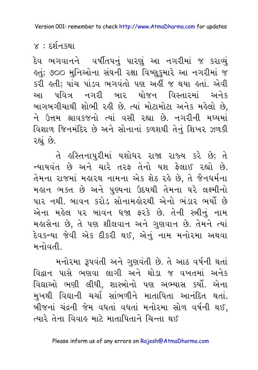$\times$  : દર્શન $s$ થા

દેવ ભગવાનને વર્ષીતપનું પારણું આ નગરીમાં જ કરાવ્યું લ્તું; ૭૦૦ મુનિઓના સંઘની રક્ષા વિષ્ણુકુમારે આ નગરીમાં જ કરી હતી; પાંચ પાંડવ ભગવંતો પણ અહીં જ થયા હતાં. એવી આ પવિત્ર નગરી બાર યોજન વિસ્તારમાં અનેક બાગબગીચાથી શોભી રહી છે. ત્યાં મોટામોટા અનેક મહેલો છે, ને ઉત્તમ શ્રાવકજનો ત્યાં વસી રહ્યા છે. નગરીની મધ્યમાં વિશાળ જિનમંદિર છે અને સોનાનાં કળશથી તેનું શિખર ઝળકી રહ્યું છે.

તે હસ્તિનાપુરીમાં યશોધર રાજા રાજ્ય કરે છે; તે ન્યાયવંત છે અને ચારે તરફ તેનો યશ ફેલાઈ રહ્યો છે. તેમના રાજમાં મહારથ નામના એક શેઠ રહે છે, તે જૈનધર્મના મહાન ભક્ત છે અને પુણ્યના ઉદયથી તેમના ઘરે લક્ષ્મીનો પાર નથી. બાવન કરોડ સોનામલોરથી એનો ભંડાર ભર્યો છે એના મહેલ ૫૨ બાવન ધજા ફરકે છે. તેની સ્ત્રીનું નામ મહાસેના છે, તે પણ શીલવાન અને ગુણવાન છે. તેમને ત્યાં દેવકન્યા જેવી એક દીકરી થઈ, એનું નામ મનોરમા અથવા મનોવતી

મનોરમા રૂપવંતી અને ગુણવંતી છે. તે આઠ વર્ષની થતાં વિદ્વાન પાસે ભણવા લાગી અને થોડા જ વખતમાં અનેક વિદ્યાઓ ભણી લીધી, શાસ્ત્રોનો પણ અભ્યાસ કર્યો. એના મખથી વિદ્યાની ચર્ચા સાંભળીને માતાપિતા આનંદિત થતાં. બીજનાં ચંદ્રની જેમ વધતાં વધતાં મનોરમા સોળ વર્ષની થઈ. ત્યારે તેના વિવાહ માટે માતાપિતાને ચિન્તા થઈ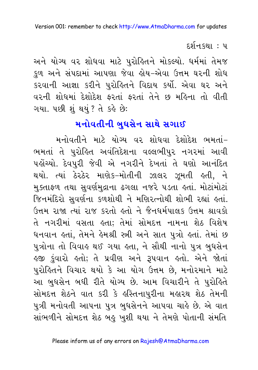દર્શન.કથા : પ

અને યોગ્ય વર શોધવા માટે પુરોહિતને મોકલ્યો. ધર્મમાં તેમજ કુળ અને સંપદામાં આપણા જેવા હોય–એવા ઉત્તમ ઘરની શોધ કરવાની આજ્ઞા કરીને પુરોહિતને વિદાય કર્યો. એવા ઘર અને વરની શોધમાં દેશોદેશ કરતાં કરતાં તેને છ મહિના તો વીતી ગયા. પછી શું થયું ? તે કહે છે:

## મનોવતીની બુઘસેન સાથે સગાઈ

મનોવતીને માટે યોગ્ય વર શોધવા દેશોદેશ ભમતાં-ભમતાં તે પુરોહિત અવંતિદેશના વલ્લભીપુર નગરમાં આવી પહોંચ્યો. દેવપુરી જેવી એ નગરીને દેખતાં તે ઘણો આનંદિત થયો. ત્યાં ઠેરઠેર માણેક-મોતીની ઝાલર ઝૂમતી હતી, ને મુક્તાફળ તથા સુવર્ણમુદ્રાના ઢગલા નજરે ૫ડતા હતાં. મોટાંમોટાં જિનમંદિરો સુવર્ણના કળશોથી ને મણિરત્નોથી શોભી રહ્યાં હતાં. ઉત્તમ રાજા ત્યાં રાજ કરતો હતો ને જૈનધર્મપાલક ઉત્તમ શ્રાવકો તે નગરીમાં વસતા હતા; તેમાં સોમદત્ત નામના શેઠ વિશેષ ધનવાન હતાં, તેમને હેમશ્રી સ્ત્રી અને સાત પુત્રો હતાં. તેમાં છ પુત્રોના તો વિવાહ થઈ ગયા હતા, ને સૌથી નાનો પુત્ર બુધસેન <u>કજી કુંવારો કતો; તે પ્રવીણ અને રૂપવાન કતો. એને જોતાં</u> પુરોહિતને વિચાર થયો કે આ યોગ ઉત્તમ છે, મનોરમાને માટે આ બુધસેન બધી રીતે યોગ્ય છે. આમ વિચારીને તે પુરોહિતે સોમદત્ત શેઠને વાત કરી કે હસ્તિનાપુરીના મહારથ શેઠ તેમની પુત્રી મનોવતી આપના પુત્ર બુધસેનને આપવા ચાહે છે. એ વાત સાંભળીને સોમદત્ત શેઠ બહુ ખુશી થયા ને તેમણે પોતાની સંમતિ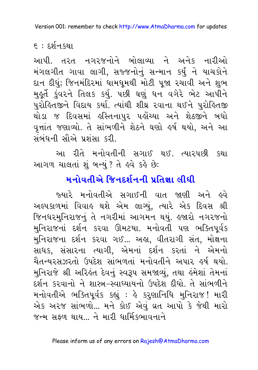$\varepsilon$  : દર્શન $s$ થા

આપી. તરત નગરજનોને બોલાવ્યા ને અનેક નારીઓ મંગલગીત ગાવા લાગી, સજ્જનોનું સન્માન કર્યું ને યાચકોને દાન દીધું; જિનમંદિરમાં ધામધુમથી મોટી પુજા રચાવી અને શુભ મુકૂર્તે કુંવરને તિલક કર્યુ. ૫છી ઘણું ધન વગેરે ભેટ આપીને પુરોહિતજીને વિદાય કર્યા. ત્યાંથી શીઘ્ર રવાના થઈને પુરોહિતજી થોડા જ દિવસમાં હસ્તિનાપુર પહોંચ્યા અને શેઠજીને બધો વૃત્તાંત જણાવ્યો. તે સાંભળીને શેઠને ઘણો હર્ષ થયો, અને આ સંબંધની સૌએ પ્રશંસા કરી.

આ રીતે મનોવતીની સગાઈ થઈ. ત્યારપછી કથા આગળ ચાલતાં શું બન્યું ? તે હવે કહે છે:

# મનોવતીએ જિનદર્શનની પ્રતિજ્ઞા લીધી

જ્યારે મનોવતીએ સગાઈની વાત જાણી અને હવે અલ્પકાળમાં વિવાહ થશે એમ લાગ્યું, ત્યારે એક દિવસ શ્રી જિનધરમુનિરાજનું તે નગરીમાં આગમન થયું. હજારો નગરજનો મુનિરાજનાં દર્શન કરવા ઊમટયા. મનોવતી પણ ભક્તિપૂર્વક મુનિરાજના દર્શન કરવા ગઈ... અહા, વીતરાગી સંત, મોક્ષના સાધક, સંસારના ત્યાગી, એમનાં દર્શન કરતાં ને એમનો ચૈતન્યરસઝરતો ઉપદેશ સાંભળતાં મનોવતીને અપાર ઙર્ષ થયો. મુનિરાજે શ્રી અરિલ્ત દેવનું સ્વરૂપ સમજાવ્યું, તથા હંમેશાં તેમનાં દર્શન કરવાનો ને શાસ્ત્ર-સ્વાધ્યાયનો ઉપદેશ દીધો. તે સાંભળીને મનોવતીએ ભક્તિપૂર્વક કહ્યું : હે કરુણાનિધિ મુનિરાજ! મારી એક અરજ સાંભળો... મને કોઈ એવં વ્રત આપો કે જેથી મારો <u>જન્મ સફળ થાય... ને મારી ધાર્મિકલ્માવનાને</u>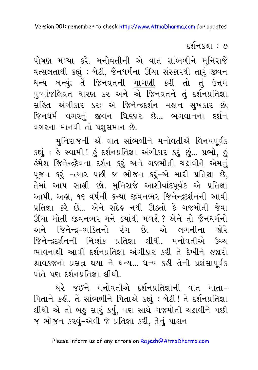દર્શનકથા : ૭

પોષણ મળ્યા કરે. મનોવતીની એ વાત સાંભળીને મુનિરાજે વત્સલતાથી કહ્યું: બેટી, જૈનધર્મના ઊંચા સંસ્કારથી તારું જીવન ધન્ય બન્યું; તેં જિનવ્રતની માગણી કરી તો તું ઉત્તમ પુષ્પાંજલિવ્રત ધારણ કર અને એ જિનવ્રતને તું દર્શનપ્રતિજ્ઞા સહિત અંગીકાર કર; એ જિનેન્દ્રદર્શન મહાન સુખકાર છે; જિનધર્મ વગરનું જીવન ધિક્કાર છે... ભગવાનના દર્શન વગરના માનવી તો પશુસમાન છે.

મનિરાજની એ વાત સાંભળીને મનોવતીએ વિનયપર્વક કહ્યું : હે સ્વામી ! હું દર્શનપ્રતિજ્ઞા અંગીકાર કરૃં છું... પ્રભો, હું હંમેશ જિનેન્દ્રદેવના દર્શન કરું અને ગજમોતી ચઢાવીને એમનું પૂજન કરૂં -ત્યાર પછી જ ભોજન કરૂં-એ મારી પ્રતિજ્ઞા છે, તેમાં આપ સાક્ષી છો. મુનિરાજે આશીર્વાદપૂર્વક એ પ્રતિજ્ઞા આપી. અહા, ૧૬ વર્ષની કન્યા જીવનભર જિનેન્દ્રદર્શનની આવી પ્રતિજ્ઞા કરે છે... એને સંદેહ નથી ઊઠતો કે ગજમોતી જેવા ઊંચા મોતી જીવનભર મને ક્યાંથી મળશે ? એને તો જૈનધર્મનો અને જિનેન્દ્ર–ભક્તિનો ૨ંગ છે. એ લગનીના જોરે જિનેન્દ્રદર્શનની નિઃશંક પ્રતિજ્ઞા લીધી. મનોવતીએ ઉચ્ચ ભાવનાથી આવી દર્શનપ્રતિજ્ઞા અંગીકાર કરી તે દેખીને હજારો શ્રાવકજનો પ્રસન્ન થયા ને ધન્ય... ધન્ય કઢી તેની પ્રશંસાપર્વક પોતે પણ દર્શનપ્રતિજ્ઞા લીધી

ઘરે જઈને મનોવતીએ દર્શનપ્રતિજ્ઞાની વાત માતા-પિતાને કહી. તે સાંભળીને પિતાએ કહ્યું : બેટી ! તેં દર્શનપ્રતિજ્ઞા લીધી એ તો બહુ સારું કર્યુ, પણ સાથે ગજમોતી ચઢાવીને પછી જ ભોજન કરવું-એવી જે પ્રતિજ્ઞા કરી, તેનું પાલન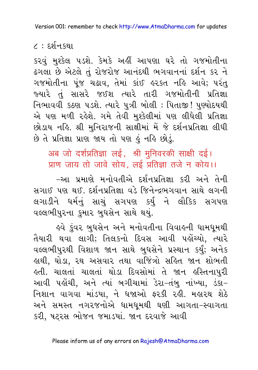$\zeta$  : દર્શન $s$ થા

કરવું મુશ્કેલ ૫ડશે. કેમકે અહીં આપણા ઘરે તો ગજમોતીના ઢગલા છે એટલે તું રોજરોજ આનંદથી ભગવાનનાં દર્શન કર ને ગજમોતીના પુંજ ચઢાવ, તેમાં કાંઈ હરકત નહિ આવે; પરંતુ જ્યારે તું સાસરે જઈશ ત્યારે તારી ગજમોતીની પ્રતિજ્ઞા નિભાવવી કઠણ ૫ડશે. ત્યારે પુત્રી બોલી : પિતાજી! પુણ્યોદયથી એ પણ મળી રહેશે. ગમે તેવી મુશ્કેલીમાં પણ લીધેલી પ્રતિજ્ઞા છોડાય નહિ. શ્રી મુનિરાજની સાક્ષીમાં મેં જે દર્શનપ્રતિજ્ઞા લીધી છે તે પ્રતિજ્ઞા પ્રાણ જાય તો પણ કું નહિ છોડું.

अब जो दर्शप्रतिज्ञा लई, श्री मुनिवरकी साक्षी दई। प्राण जाय तो जावे सोय, लई प्रतिज्ञा तजे न कोय।।

–આ પ્રમાણે મનોવતીએ દર્શનપ્રતિજ્ઞા કરી અને તેની સગાઈ પણ થઈ. દર્શનપ્રતિજ્ઞા વડે જિનેન્દ્રભગવાન સાથે લગની લગાડીને ધર્મનું સાચું સગપણ કર્યુ ને લૌકિક સગપણ વલ્લભીપુરના કુમાર બુધસેન સાથે થયું.

ઙવે કુંવર બુધસેન અને મનોવતીના વિવાહની ધામધૂમથી તૈયારી થવા લાગી; તિલકનો દિવસ આવી પહોંચ્યો. ત્યારે વલ્લભીપુરથી વિશાળ જાન સાથે બુધસેને પ્રસ્થાન કર્યું; અનેક હાથી, ઘોડા, રથ અસવાર તથા વાજિંત્રો સહિત જાન શોભતી કતી. ચાલતાં ચાલતાં થોડા દિવસોમાં તે જાન કસ્તિનાપુરી આવી પહોંચી, અને ત્યાં બગીચામાં ડેરા-તંબુ નાંખ્યા, ડંકા-નિશાન વાગવા માંડયા, ને ધજાઓ ફરકી રહી. મહારથ શેઠે અને સમસ્ત નગરજનોએ ધામધુમથી ઘણી આગતા–સ્વાગતા કરી, ષટરસ ભોજન જમાડયાં. જાન દરવાજે આવી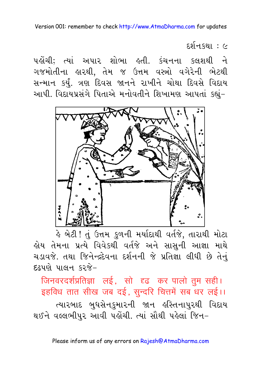દર્શનકથા : ૯

પહોંચી; ત્યાં અપાર શોભા હતી. કંચનના કલશથી ને ગજમોતીના હારથી, તેમ જ ઉત્તમ વસ્ત્રો વગેરેની ભેટથી સન્માન કર્યું. ત્રણ દિવસ જાનને રાખીને ચોથા દિવસે વિદાય આપી. વિદાયપ્રસંગે પિતાએ મનોવતીને શિખામણ આપતાં કહ્યું-



હે બેટી ! તું ઉત્તમ <u>કુ</u>ળની મર્યાદાથી વર્તજે, તારાથી મોટા હોય તેમના પ્રત્યે વિવેકથી વર્તજે અને સાસુની આજ્ઞા માથ<mark>ે</mark> ચડાવજે. તથા જિનેન્દ્રદેવના દર્શનની જે પ્રતિજ્ઞા લીધી છે તેનું દઢપણે પાલન કરજે-

जिनवरदर्शप्रतिज्ञा लई, सो दृढ कर पालो तुम सही। इहविध तात सीख जब दई, सुन्दरि चित्तमें सब धर लई।। ત્યારબાદ બુધસેનકુમારની જાન હસ્તિનાપુરથી વિદાય થઈને વલ્લભીપુર આવી પહોંચી. ત્યાં સૌથી પહેલાં જિન-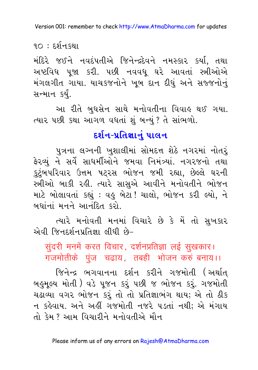$90:5251$ 

મંદિરે જઈને નવદંપતીએ જિનેન્દ્રદેવને નમસ્કાર કર્યા, તથા અષ્ટવિધ ૫જા કરી. ૫છી નવવધ ઘરે આવતાં સ્ત્રીઓએ મંગલગીત ગાયા. યાચકજનોને ખૂબ દાન દીધું અને સજ્જનોનું સન્માન કર્યં.

આ રીતે બુધસેન સાથે મનોવતીના વિવાહ થઈ ગયા. ત્યાર પછી કથા આગળ વધતાં શું બન્યું ? તે સાંભળો.

### દર્શન-પ્રતિજ્ઞાનું પાલન

પુત્રના લગ્નની ખુશાલીમાં સોમદત્ત શેઠે નગરમાં નોતરં ફેરવ્યું ને સર્વે સાધર્મીઓને જમવા નિમંત્ર્યાં. નગરજનો તથા કુટુંબપરિવાર ઉત્તમ ષટરસ ભોજન જમી રહ્યા, છેલ્લે ઘરની સ્ત્રીઓ બાકી રહી. ત્યારે સાસુએ આવીને મનોવતીને ભોજન માટે બોલાવતાં કહ્યું : વહુ બેટા ! ચાલો, ભોજન કરી લ્યો, ને બધાંનાં મનને આનંદિત કરો

ત્યારે મનોવતી મનમાં વિચારે છે કે મેં તો સુખકાર એવી જિનદર્શનપ્રતિજ્ઞા લીધી છે-

सुंदरी मनमें करत विचार, दर्शनप्रतिज्ञा लई सुखकार। गजमोतीके पुंज चढाय, तबही भोजन करुं बनाय।।

જિનેન્દ્ર ભગવાનના દર્શન કરીને ગજમોતી (અર્થાત બહુમૂલ્ય મોતી ) વડે પૂજન કરૂં પછી જ ભોજન કરૂં. ગજમોતી ચઢાવ્યા વગર ભોજન કરું તો તો પ્રતિજ્ઞાભંગ થાય; એ તો ઠીક ન કહેવાય. અને અહીં ગજમોતી નજરે ૫ડતાં નથી; એ મંગાય તો કેમ ? આમ વિચારીને મનોવતીએ મૌન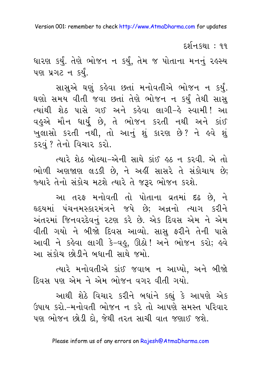દર્શનકથા : ૧૧ ધારણ કર્યું. તેણે ભોજન ન કર્યું, તેમ જ પોતાના મનનું રહસ્ય પણ પ્રગટન કર્યું.

સાસુએ ઘણું કહેવા છતાં મનોવતીએ ભોજન ન કર્યું. ઘણો સમય વીતી જવા છતાં તેણે ભોજન ન કર્યું તેથી સાસુ ત્યાંથી શેઠ પાસે ગઈ અને કહેવા લાગી-હે સ્વામી! આ વહુએ મૌન ધાર્યુ છે, તે ભોજન કરતી નથી અને કાંઈ ખુલાસો કરતી નથી, તો આનું શું કારણ છે? ને હવે શું કરવં ? તેનો વિચાર કરો.

ત્યારે શેઠ બોલ્યા-એની સાથે કાંઈ હઠ ન કરવી. એ તો ભોળી અણજાણ લડકી છે, ને અહીં સાસરે તે સંકોચાય છે; જ્યારે તેનો સંકોચ મટશે ત્યારે તે જરૂર ભોજન કરશે.

આ તરફ મનોવતી તો પોતાના વ્રતમાં દઢ છે, ને હૃદયમાં પંચનમસ્કારમંત્રને જપે છે; અન્નનો ત્યાગ કરીને અંતરમાં જિનવરદેવનું રટણ કરે છે. એક દિવસ એમ ને એમ વીતી ગયો ને બીજો દિવસ આવ્યો. સાસુ ફરીને તેની પાસે આવી ને કહેવા લાગી કે-વહુ, ઊઠો! અને ભોજન કરો; હવે આ સંકોચ છોડીને બધાની સાથે જમો.

ત્યારે મનોવતીએ કાંઈ જવાબ ન આપ્યો, અને બીજો દિવસ પણ એમ ને એમ ભોજન વગર વીતી ગયો.

આથી શેઠે વિચાર કરીને બધાંને કહ્યું કે આપણે એક ઉપાય કરો.-મનોવતી ભોજન ન કરે તો આપણે સમસ્ત પરિવાર પણ ભોજન છોડી દો, જેથી તરત સાચી વાત જણાઈ જશે.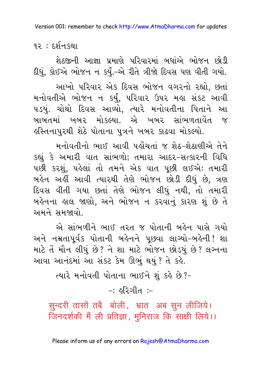**१२** $:$  **६२** $\mathbb{R}$  १२ ।

શેઠજીની આજ્ઞા પ્રમાણે પરિવારમાં બધાંએ ભોજન છોડી દીધું, કોઈએ ભોજન ન કર્યું.–એ રીતે ત્રીજો દિવસ પણ વીતી ગયો.

આખો પરિવાર એક દિવસ ભોજન વગરનો રહ્યો, છતાં મનોવતીએ ભોજન ન કર્યું, પરિવાર ઉપર મહા સંકટ આવી ૫ડયું. ચોથો દિવસ આવ્યો, ત્યારે મનોવતીના પિતાને આ બાબતમાં ખબર મોકલ્યા. એ ખબર સાંભળતાવેંત જ હસ્તિનાપુરથી શેઠે પોતાના પુત્રને ખબર કાઢવા મોકલ્યો.

મનોવતીનો ભાઈ આવી પહોંચતાં જ શેઠ-શેઠાણીએ તેને કહ્યું કે અમારી વાત સાંભળો; તમારા આદર-સત્કારની વિધિ પછી કરશું, પહેલાં તો તમને એક વાત પૂછી લઈએ: તમારી બહેન અહીં આવી ત્યારથી તેણે ભોજન છોડી દીધું છે. ત્રણ દિવસ વીતી ગયા છતાં તેણે ભોજન લીધું નથી, તો તમારી બહેનના હાલ જાણો, અને ભોજન ન કરવાનું કારણ શું છે તે અમને સમજાવો.

એ સાંભળીને ભાઈ તરત જ પોતાની બહેન પાસે ગયો અને નમ્રતાપર્વક પોતાની બહેનને પછવા લાગ્યો-બહેની! શા માટે તેં મૌન લીધું છે? ને શા માટે ભોજન છોડયું છે? લગ્નના આવા આનંદમાં આ સંકટ કેમ ઊભું થયું ? તે કર્લ

ત્યારે મનોવતી પોતાના ભાઈને શું કહે છે?-

 $-$  bloca  $-$ 

सुन्दरी तासों तबै बोली, भ्रात अब सुन लीजिये। जिनदर्शकी मैं ली प्रतिज्ञा, मुनिराज कि साक्षी लिये।।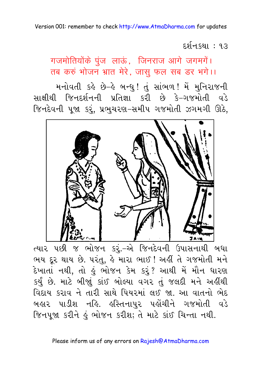દર્શન કથા : ૧૩

गजमोतियोंके पुंज लाऊं, जिनराज आगे जगमगें। तब करुं भोजन भ्रात मेरे, जास फल सब डर भगे।।

મનોવતી કહે છે-હે બન્ધુ! તું સાંભળ! મેં મુનિરાજની સાક્ષીથી જિનદર્શનની પ્રતિજ્ઞા કરી છે કે-ગજમોતી વડે જિનદેવની પૂજા કરૂં, પ્રભુચરણ-સમીપ ગજમોતી ઝગમગી ઊઠે,



ત્યાર ૫છી જ ભોજન કરું.-એ જિનદેવની ઉપાસનાથી બધા ભય દૂર થાય છે. પરંતુ, હે મારા ભાઈ ! અહીં તે ગજમોતી મને દેખાતાં નથી, તો હું ભોજન કેમ કરું? આથી મેં મૌન ધારણ કર્યું છે. માટે બીજાું કાંઈ બોલ્યા વગર તું જલદી મને અહીંથી વિદાય કરાવ ને તારી સાથે પિયરમાં લઈ જા. આ વાતનો ભેદ બહાર પાડીશ નહિ. હસ્તિનાપુર પહોંચીને ગજમોતી વડે જિનપુજા કરીને કું ભોજન કરીશ; તે માટે કાંઈ ચિન્તા નથી.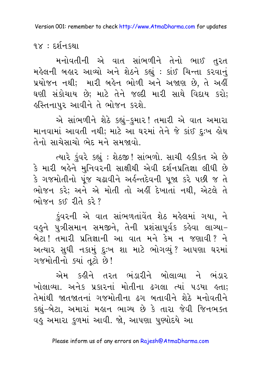૧૪ $:$  દર્શન $s$ થા

મનોવતીની એ વાત સાંભળીને તેનો ભાઈ તરત મહેલની બહાર આવ્યો અને શેઠને કહ્યું: કાંઈ ચિન્તા કરવાનું પ્રયોજન નથી; મારી બહેન ભોળી અને અજાણ છે, તે અહીં ઘણી સંકોચાય છે; માટે તેને જલ્દી મારી સાથે વિદાય કરો; इસ્તિનાપુર આવીને તે ભોજન કરશે.

એ સાંભળીને શેઠે કહ્યું-કુમાર! તમારી એ વાત અમારા માનવામાં આવતી નથી; માટે આ ઘરમાં તેને જે કાંઈ દુઃખ હોય તેનો સાચેસાચો ભેદ મને સમજાવો.

ત્યારે કુંવરે કહ્યું : શેઠજી! સાંભળો. સાચી હકીકત એ છે કે મારી બહેને મુનિવરની સાક્ષીથી એવી દર્શનપ્રતિજ્ઞા લીધી છે કે ગજમોતીનો પંજ ચઢાવીને અર્લન્તદેવની પજા કરે પછી જ તે ભોજન કરે; અને એ મોતી તો અહીં દેખાતાં નથી, એટલે તે ભોજન કઈ રીતે કરે?

ડુંવરની એ વાત સાંભળતાંવેત શેઠ મહેલમાં ગયા, ને વહુને પુત્રીસમાન સમજીને, તેની પ્રશંસાપૂર્વક કહેવા લાગ્યા– બેટા! તમારી પ્રતિજ્ઞાની આ વાત મને કેમ ન જણાવી? ને અત્યાર સુધી નકામું દુઃખ શા માટે ભોગવ્યું? આપણા ઘરમાં ગજમોતીનો ક્યાં તૂટો છે!

એમ કઢીને તરત ભંડારીને બોલાવ્યા ને ભંડાર ખોલાવ્યા. અનેક પ્રકારનાં મોતીના ઢગલા ત્યાં ૫ડયા હતા; તેમાંથી જાતજાતનાં ગજમોતીના ઢગ બતાવીને શેઠે મનોવતીને કહ્યું-બેટા, અમારાં મહાન ભાગ્ય છે કે તારા જેવી જિનભક્ત વહુ અમારા કુળમાં આવી. જો, આપણા પુણ્યોદયે આ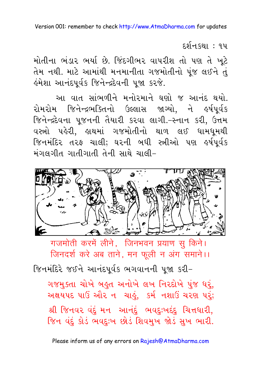દર્શનકથા : ૧૫

મોતીના ભંડાર ભર્યા છે. જિંદગીભર વાપરીશ તો પણ તે ખૂટે તેમ નથી. માટે આમાંથી મનમાનીતા ગજમોતીનો પંજ લઈને તં હંમેશા આનંદપૂર્વક જિનેન્દ્રદેવની પુજા કરજે.

આ વાત સાંભળીને મનોરમાને ઘણો જ આનંદ થયો. રોમરોમ જિનેન્દ્રભક્તિનો ઉલ્લાસ જાગ્યો. ને ઙર્ષપર્વક જિનેન્દ્રદેવના પૂજનની તૈયારી કરવા લાગી.-સ્નાન કરી, ઉત્તમ વસ્ત્રો પહેરી, હાથમાં ગજમોતીનો થાળ લઈ ધામધમથી જિનમંદિર તરફ ચાલી; ઘરની બધી સ્ત્રીઓ પણ હર્ષપૂર્વક મંગલગીત ગાતીગાતી તેની સાથે ચાલી-



गजमोती करमें लीने, जिनभवन प्रयाण सू किने। जिनदर्श करे अब ताने, मन फूली न अंग समाने।।

જિનમંદિરે જઈને આનંદપૂર્વક ભગવાનની પુજા કરી-ગજમુક્તા ચોખે બહુત અનોખે લખ નિરદોખે પુંજ ઘરું, અક્ષયપદ પાઉં ઔર ન ચાહું. કર્મ નશાઉં ચરણ પરં; શ્રી જિનવર વંદું મન આનંદું ભવદુઃખદંદુ ચિત્તધારી, જિન વંદું કોડં ભવદુઃખ છોડં શિવમુખ જોડં સુખ ભારી.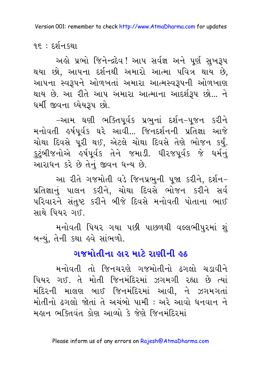૧૬ $:$  દર્શન $s$ થા

અહો પ્રભો જિનેન્દ્રદેવ ! આપ સર્વજ્ઞ અને પૂર્ણ સુખરૂપ થયા છો, આપના દર્શનથી અમારો આત્મા પવિત્ર થાય છે, આપના સ્વરૂપને ઓળખતાં અમારા આત્મસ્વરૂપની ઓળખાણ થાય છે. આ રીતે આપ અમારા આત્માના આદર્શરૂપ છો... ને ધર્મી જીવના ઘ્યેયરૂપ છો.

−આમ ઘણી ભક્તિપૂર્વક પ્રભુનાં દર્શન−પૂજન કરીને મનોવતી ઙર્ષપર્વક ઘરે આવી... જિનદર્શનની પ્રતિજ્ઞા આજે ચોથા દિવસે પૂરી થઈ, એટલે ચોથા દિવસે તેણે ભોજન કર્યું. કુટુંબીજનોએ હર્ષપૂર્વક તેને જમાડી. ધીરજપૂર્વક જે ધર્મનું આરાધન કરે છે તેનું જીવન ધન્ય છે.

આ રીતે ગજમોતી વડે જિનપ્રભની પજા કરીને. દર્શન-પ્રતિજ્ઞાનું પાલન કરીને, ચોથા દિવસે ભોજન કરીને સર્વ પરિવારને સંતુષ્ટ કરીને બીજે દિવસે મનોવતી પોતાના ભાઈ સાથે પિયર ગઈ.

મનોવતી પિયર ગયા પછી પાછળથી વલ્લભીપુરમાં શું બન્યું, તેની કથા હવે સાંભળો.

### ગજમોતીના હાર માટે રાણીની હઠ

મનોવતી તો જિનચરણે ગજમોતીનો ઢગલો ચડાવીને પિયર ગઈ. તે મોતી જિનમંદિરમાં ઝગમગી રહ્યા છે ત્યાં મંદિરની માલણ બાઈ જિનમંદિરમાં આવી. ને ઝગમગતાં મોતીનો ઢગલો જોતાં તે અચંબો પામી : અરે આવો ધનવાન ને मङान ભક્તિવંત કોણ આવ્યો કે જેણે જિનમંદિરમાં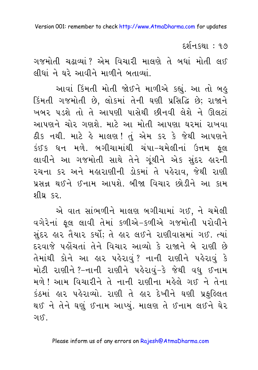દર્શન.કથા : ૧૭

ગજમોતી ચઢાવ્યાં ? એમ વિચારી માલણે તે બધાં મોતી લઈ લીધાં ને ઘરે આવીને માળીને બતાવ્યાં.

આવાં કિંમતી મોતી જોઈને માળીએ કહ્યું. આ તો બહુ કિંમતી ગજમોતી છે, લોકમાં તેની ઘણી પ્રસિદ્ધિ છે; રાજાને ખબર પડશે તો તે આપણી પાસેથી છીનવી લેશે ને ઊલટાં આપણને ચોર ગણશે. માટે આ મોતી આપણા ઘરમાં રાખવા ઠીક નથી. માટે હે માલણ! તું એમ કર કે જેથી આપણને કંઈક ધન મળે. બગીચામાંથી ચંપા–ચમેલીનાં ઉત્તમ ફલ લાવીને આ ગજમોતી સાથે તેને ગુંથીને એક સુંદર હારની રચના કર અને મહારાણીની ડોકમાં તે પહેરાવ, જેથી રાણી પ્રસન્ન થઈને ઈનામ આપશે. બીજા વિચાર છોડીને આ કામ શીઘ કર

એ વાત સાંભળીને માલણ બગીચામાં ગઈ, ને ચમેલી વગેરેનાં ફૂલ લાવી તેમાં કળીએ-કળીએ ગજમોતી પરોવીને સુંદર હાર તૈયાર કર્યો; તે હાર લઈને રાણીવાસમાં ગઈ. ત્યાં દરવાજે પહોંચતાં તેને વિચાર આવ્યો કે રાજાને બે રાણી છે તેમાંથી કોને આ હાર પહેરાવું? નાની રાણીને પહેરાવું કે મોટી રાણીને?-નાની રાણીને પહેરાવું-કે જેથી વધુ ઈનામ મળે ! આમ વિચારીને તે નાની રાણીના મહેલે ગઈ ને તેના કંઠમાં હાર પહેરાવ્યો. રાણી તે હાર દેખીને ઘણી પ્રફુલ્લિત થઈ ને તેને ઘણું ઈનામ આપ્યં. માલણ તે ઈનામ લઈને ઘેર ગાઈ.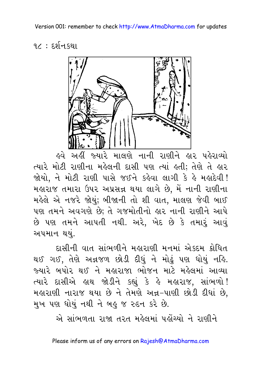$97:59$ नि क्था



<u>હવે અહીં જ્યારે માલણે નાની રાણીને હાર પહેરાવ્યો</u> ત્યારે મોટી રાણીના મહેલની દાસી પણ ત્યાં હતી; તેણે તે હાર જોયો. ને મોટી રાણી પાસે જઈને કહેવા લાગી કે હે મહાદેવી! મહારાજ તમારા ઉપર અપ્રસન્ન થયા લાગે છે, મેં નાની રાણીના મહેલે એ નજરે જોયું; બીજાની તો શી વાત, માલણ જેવી બાઈ પણ તમને અવગણે છે; તે ગજમોતીનો હાર નાની રાણીને આપે છે પણ તમને આપતી નથી. અરે, ખેદ છે કે તમારૂં આવું અપમાન થયં.

દાસીની વાત સાંભળીને મહારાણી મનમાં એકદમ ક્રોધિત થઈ ગઈ. તેણે અન્નજળ છોડી દીધં ને મોઢં પણ ધોયં નહિ. જ્યારે બપોર થઈ ને મહારાજા ભોજન માટે મહેલમાં આવ્યા ત્યારે દાસીએ હાથ જોડીને કહ્યું કે હે મહારાજ, સાંભળો! મહારાણી નારાજ થયા છે ને તેમણે અન્ન-પાણી છોડી દીધાં છે, મુખ પણ ધોયું નથી ને બહુ જ રુદન કરે છે.

એ સાંભળતા રાજા તરત મહેલમાં પહોંચ્યો ને રાણીને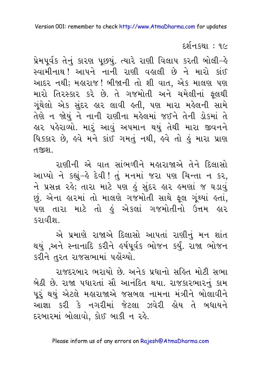દર્શન કથા : ૧૯

પ્રેમપૂર્વક તેનું કારણ પૂછયું. ત્યારે રાણી વિલાપ કરતી બોલી-હે સ્વામીનાથ !આપને નાની રાણી વહાલી છે ને મારો કાંઈ આદર નથી; મહારાજ! બીજાની તો શી વાત, એક માલણ પણ મારો તિરસ્કાર કરે છે. તે ગજમોતી અને ચમેલીનાં ફૂલથી ગૃંથેલો એક સુંદર હાર લાવી હતી, પણ મારા મહેલની સામે તેણે ન જોયું ને નાની રાણીના મહેલમાં જઈને તેની ડોકમાં તે હાર પહેરાવ્યો. મારૂં આવું અપમાન થયું તેથી મારા જીવનન<mark>ે</mark> ધિક્કાર છે, હવે મને કાંઈ ગમતું નથી, હવે તો હું મારા પ્રાણ ત.જીશ..

રાણીની એ વાત સાંભળીને મહારાજાએ તેને દિલાસો આપ્યો ને કહ્યું-હે દેવી ! તું મનમાં જરા પણ ચિન્તા ન કર, ને પ્રસન્ન રહે; તારા માટે પણ હું સુંદર હાર હમણાં જ ઘડાવું છું. એના હારમાં તો માલણે ગજમોતી સાથે ફૂલ ગૂંથ્યાં હતાં, પણ તારા માટે તો હું એકલાં ગજમોતીનો ઉત્તમ હાર કરાવીશ.

એ પ્રમાણે રાજાએ દિલાસો આપતાં રાણીનું મન શાંત થયું ,અને સ્નાનાદિ કરીને હર્ષપૂર્વક ભોજન કર્યું. રાજા ભોજન કરીને તુરત રાજસભામાં પહોંચ્યો.

રાજદરબાર ભરાયો છે. અનેક પ્રધાનો સહિત મોટી સભા બેઠી છે. રાજા પધારતાં સૌ આનંદિત થયા. રાજકારભારનું કામ પર થયં એટલે મહારાજાએ જસબલ નામના મંત્રીને બોલાવીને આજ્ઞા કરી કે નગરીમાં જેટલા ઝવેરી હોય તે બધાયને દરબારમાં બોલાવો, કોઈ બાકી ન રહે.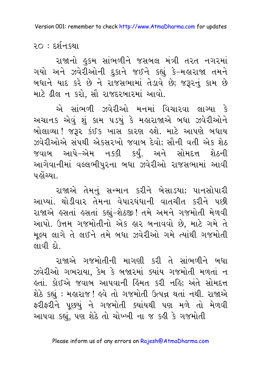२० : ६र्शन ध्या

રાજાનો હુકમ સાંભળીને જસબલ મંત્રી તરત નગરમાં ગયો અને ઝવેરીઓની દુકાને જઈને કહ્યું કે-મહારાજા તમને બધાને યાદ કરે છે ને રાજસભામાં તેડાવે છે; જરૂરનું કામ છે માટે ઢીલ ન કરો, સૌ રાજદરબારમાં આવો.

એ સાંભળી ઝવેરીઓ મનમાં વિચારવા લાગ્યા કે અચાનક એવું શું કામ ૫ડયું કે મહારાજાએ બધા ઝવેરીઓને બોલાવ્યા ! જરૂર કંઈક ખાસ કારણ હશે. માટે આપણે બધાય ઝવેરીઓએ સંપથી એકસરખો જવાબ દેવો; સૌની વતી એક શેઠ જવાબ આપે–એમ નક્કી કર્યું. અને સોમદત્ત શેઠની આગેવાનીમાં વલ્લભીપુરના બધા ઝવેરીઓ રાજસભામાં આવી પહોંચ્યા

રાજાએ તેમનું સન્માન કરીને બેસાડયા; પાનસોપારી આપ્યાં. થોડીવાર તેમના વેપારધંધાની વાતચીત કરીને પછી રાજાએ હસતાં હસતાં કહ્યું-શેઠજી! તમે અમને ગજમોતી મેળવી આપો. ઉત્તમ ગજમોતીનો એક હાર બનાવવો છે, માટે ગમે તે મૂલ્ય લાગે તે લઈને તમે બધા ઝવેરીઓ ગમે ત્યાંથી ગજમોતી લાવી દો

રાજાએ ગજમોતીની માગણી કરી તે સાંભળીને બધા ઝવેરીઓ ગભરાયા, કેમ કે બજારમાં ક્યાંય ગજમોતી મળતાં ન લતાં. કોઈએ જવાબ આપવાની હિંમત કરી નહિ; અંતે સોમદત્ત શેઠે કહ્યું : મહારાજ ! હવે તો ગજમોતી ઉત્પન્ન થતાં નથી. રાજાએ ફરીફરીને પૂછયું ને ગજમોતી ક્યાંયથી પણ મળે તો મેળવી આપવા કહ્યું, પણ શેઠે તો ચોખ્ખી ના જ કહી કે ગજમોતી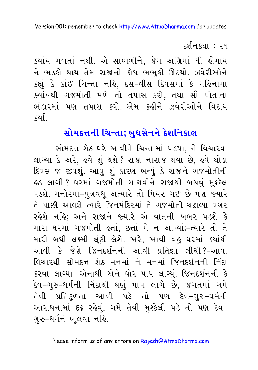#### દર્શનકથા : ૨૧

ક્યાંય મળતાં નથી. એ સાંભળીને, જેમ અગ્નિમાં ઘી હોમાય ને ભડકો થાય તેમ રાજાનો ક્રોધ ભભૂકી ઊઠયો. ઝવેરીઓને કહ્યું કે કાંઈ ચિન્તા નહિ, દસ-વીસ દિવસમાં કે મહિનામાં ક્યાંયથી ગજમોતી મળે તો તપાસ કરો, તથા સૌ પોતાના ભંડારમાં પણ તપાસ કરો.-એમ કઢીને ઝવેરીઓને વિદાય કર્યા.

## સોમદત્તની ચિન્તા; બુઘસેનને દેશનિકાલ

સોમદત્ત શેઠ ઘરે આવીને ચિન્તામાં ૫ડયા, ને વિચારવા લાગ્યા કે અરે, હવે શું થશે ? રાજા નારાજ થયા છે, હવે થોડા દિવસ જ જીવશું. આવું શું કારણ બન્યું કે રાજાને ગજમોતીની ૬ઠ લાગી ? ઘરમાં ગજમોતી સાચવીને રાજાથી બચવું મુશ્કેલ ૫ડશે. મનોરમા-પુત્રવધૂ અત્યારે તો પિયર ગઈ છે પણ જ્યારે તે પાછી આવશે ત્યારે જિનમંદિરમાં તે ગજમોતી ચઢાવ્યા વગર રહેશે નહિ; અને રાજાને જ્યારે એ વાતની ખબર ૫ડશે કે મારા ઘરમાં ગજમોતી હતાં, છતાં મેં ન આપ્યાં;-ત્યારે તો તે મારી બધી લક્ષ્મી લુંટી લેશે. અરે, આવી વહુ ઘરમાં ક્યાંથી આવી કે જેણે જિનદર્શનની આવી પ્રતિજ્ઞા લીધી?-આવા વિચારથી સોમદત્ત શેઠ મનમાં ને મનમાં જિનદર્શનની નિંદા કરવા લાગ્યા. એનાથી એને ઘોર પાપ લાગ્યું. જિનદર્શનની કે દેવ−ગુરુ−ધર્મની નિંદાથી ઘણું પાપ લાગે છે, જગતમાં ગમે તેવી પ્રતિકૂળતા આવી પડે તો પણ દેવ-ગુરુ-ધર્મની આરાધનામાં દઢ રહેવું, ગમે તેવી મુશ્કેલી પડે તો પણ દેવ-ગુરુ-ધર્મને ભૂલવા નહિ.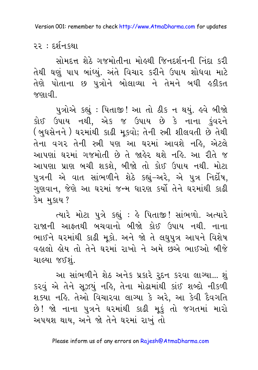૨૨ : દર્શનકથા

સોમદત્ત શેઠે ગજમોતીના મોઢથી જિનદર્શનની નિંદા કરી તેથી ઘણું પાપ બાંધ્યું. અંતે વિચાર કરીને ઉપાય શોધવા માટે તેણે પોતાના છ પુત્રોને બોલાવ્યા ને તેમને બધી હકીકત જણાવી

પુત્રોએ કહ્યું : પિતાજી! આ તો ઠીક ન થયું. હવે બીજો કોઈ ઉપાય નથી, એક જ ઉપાય છે કે નાના કુંવરને ( બુધસેનને ) ઘરમાંથી કાઢી મુકવો; તેની સ્ત્રી શીલવતી છે તેથી તેના વગર તેની સ્ત્રી પણ આ ઘરમાં આવશે નહિ, એટલે આપણાં ઘરમાં ગજમોતી છે તે જાહેર થશે નહિ. આ રીતે જ આપણા પ્રાણ બચી શકશે, બીજો તો કોઈ ઉપાય નથી. મોટા પુત્રની એ વાત સાંભળીને શેઠે કહ્યું-અરે, એ પુત્ર નિર્દોષ, ગુણવાન, જેણે આ ઘરમાં જન્મ ધારણ કર્યો તેને ઘરમાંથી કાઢી કેમ મકાય ?

ત્યારે મોટા પુત્રે કહ્યું : હે પિતાજી! સાંભળો. અત્યારે રાજાની આફતથી બચવાનો બીજો કોઈ ઉપાય નથી. નાના ભાઈને ઘરમાંથી કાઢી મુકો. અને જો તે લઘુપુત્ર આપને વિશેષ વહાલો હોય તો તેને ઘરમાં રાખો ને અમે છૂએ ભાઈઓ બીજે ચાલ્યા જઈશું.

આ સાંભળીને શેઠ અનેક પ્રકારે રૂદન કરવા લાગ્યા... શં કરવું એ તેને સૂઝયું નહિ, તેના મોઢામાંથી કાંઈ શબ્દો નીકળી શક્યા નહિ. તેઓ વિચારવા લાગ્યા કે અરે, આ કેવી દૈવગતિ છે! જો નાના પુત્રને ઘરમાંથી કાઢી મુકું તો જગતમાં મારો અપયશ થાય, અને જો તેને ઘરમાં રાખું તો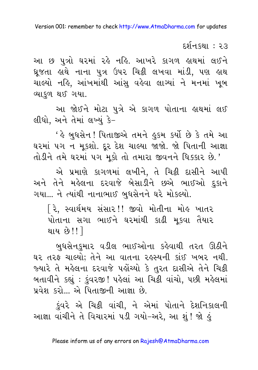દર્શનકથા : ૨૩

આ છ પુત્રો ઘરમાં રહે નહિ. આખરે કાગળ હાથમાં લઈને ઘૂજતા હાથે નાના પુત્ર ઉપર ચિક્રી લખવા માંડી, પણ હાથ ચાલ્યો નહિ, આંખમાંથી આંસુ વહેવા લાગ્યાં ને મનમાં ખુબ વ્યાકળ થઈ ગયા.

આ જોઈને મોટા પુત્રે એ કાગળ પોતાના હાથમાં લઈ લીધો, અને તેમાં લખ્યું કે-

' હે બુધસેન ! પિતાજીએ તમને હુકમ કર્યો છે કે તમે આ ઘરમાં ૫ગ ન મૂકશો. દૂર દેશ ચાલ્યા જાજો. જો પિતાની આજ્ઞા તોડીને તમે ઘરમાં ૫ગ મૂકો તો તમારા જીવનને ધિક્કાર છે.'

એ પ્રમાણે કાગળમાં લખીને, તે ચિટ્ઠી દાસીને આપી અને તેને મહેલના દરવાજે બેસાડીને છએ ભાઈઓ દુકાને ગયા... ને ત્યાંથી નાનાભાઈ બુધસેનને ઘરે મોકલ્યો.

િરે, સ્વાર્થમય સંસાર!! જીવો મોતીના મોહ ખાતર પોતાના સગા ભાઈને ઘરમાંથી કાઢી મુકવા તૈયાર થાય છે!!<u>]</u>

બુધસેનકુમાર વડીલ ભાઈઓના કહેવાથી તરત ઊઠીને ઘર તરફ ચાલ્યો; તેને આ વાતના રહસ્યની કાંઈ ખબર નથી. જ્યારે તે મહેલના દરવાજે પહોંચ્યો કે તુરત દાસીએ તેને ચિક્રી બતાવીને કહ્યું : કુંવરજી! પહેલાં આ ચિક્રી વાંચો, પછી મહેલમાં પ્રવેશ કરો... એ પિતાજીની આજ્ઞા છે.

કુંવરે એ ચિટ્ટી વાંચી, ને એમાં પોતાને દેશનિકાલની આજ્ઞા વાંચીને તે વિચારમાં ૫ડી ગયો-અરે, આ શું! જો કું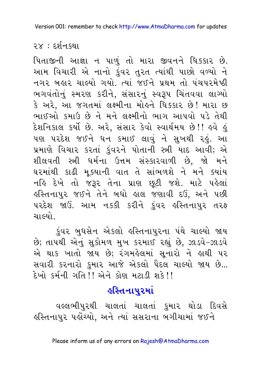### ૨૪ : દર્શનકથા

પિતાજીની આજ્ઞા ન પાળું તો મારા જીવનને ધિક્કાર છે. આમ વિચારી એ નાનો કુંવર તુરત ત્યાંથી પાછો વળ્યો ને નગર બહાર ચાલ્યો ગયો. ત્યાં જઈને પ્રથમ તો પંચપરમેષ્ઠી ભગવંતોનું સ્મરણ કરીને, સંસારનું સ્વરૂપ ચિંતવવા લાગ્યો કે અરે. આ જગતમાં લક્ષ્મીના મોહને ધિક્કાર છે! મારા છ ભાઈઓ કમાઉ છે ને મને લક્ષ્મીનો ભાગ આપવો પડે તેથી દેશનિકાલ કર્યો છે. અરે, સંસાર કેવો સ્વાર્થમય છે!! ઙવે ૬ પણ પરદેશ જઈને ધન કમાઈ લાવું ને સુખથી રહું. આ પ્રમાણે વિચાર કરતાં કુંવરને પોતાની સ્ત્રી યાદ આવી; એ શીલવતી સ્ત્રી ધર્મના ઉત્તમ સંસ્કારવાળી છે, જો મને ઘરમાંથી કાઢી મૂક્યાની વાત તે સાંભળશે ને મને ક્યાંય નહિ દેખે તો જરૂર તેના પ્રાણ છૂટી જશે. માટે પહેલાં હસ્તિનાપુર જઈને તેને બધો હાલ જણાવી દઉં, અને પછી ૫રદેશ જાઉં. આમ નક્કી કરીને કુંવર હસ્તિનાપુર તરફ ચાલ્યો.

કુંવર બુધસેન એકલો હસ્તિનાપુરના પંથે ચાલ્યો જાય છે; તાપથી એનું સુકોમળ મુખ કરમાઈ રહ્યું છે, ઝાડવે-ઝાડવે એ થાક ખાતો જાય છે; રંગમહેલમાં સુનારો ને હાથી પર સવારી કરનારો કુમાર આજે એકલો પૈદલ ચાલ્યો જાય છે... हेખो કર્મની ગતિ!! એને કોણ મટાડી શકે!!

### 

વલ્લભીપુરથી ચાલતાં ચાલતાં કુમાર થોડા દિવસે હસ્તિનાપુર પહોંચ્યો, અને ત્યાં સસરાના બગીચામાં જઈને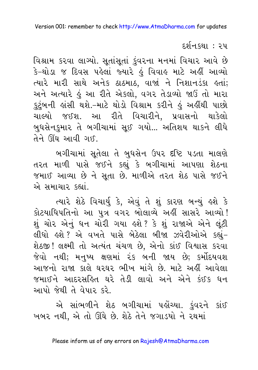દર્શનકથા : ૨૫

વિશ્રામ કરવા લાગ્યો. સૂતાંસૂતાં ડુંવરના મનમાં વિચાર આવે છે કે-થોડા જ દિવસ પહેલાં જ્યારે હું વિવાહ માટે અહીં આવ્યો ત્યારે મારી સાથે અનેક ઠાઠમાઠ, વાજાં ને નિશાનડંકા હતાં; અને અત્યારે હું આ રીતે એકલો, વગર તેડાવ્યો જાઉં તો મારા કુટુંબની હાંસી થશે.-માટે થોડો વિશ્રામ કરીને હું અહીંથી પાછો ચાલ્યો જઈશ. આ રીતે વિચારીને, પ્રવાસનો થાકેલો બુધસેનકમાર તે બગીચામાં સઈ ગયો... અતિશય થાકને લીધે तेने शिंध આવી ગઈ.

બગીચામાં સૂતેલા તે બુધસેન ઉપર દષ્ટિ પડતા માલણે તરત માળી પાસે જઈને કહ્યું કે બગીચામાં આપણા શેઠના જમાઈ આવ્યા છે ને સૂતા છે. માળીએ તરત શેઠ પાસે જઈને એ સમાચાર કહ્યાં.

ત્યારે શેઠે વિચાર્યુ કે, એવું તે શું કારણ બન્યું હશે કે કોટયાધિપતિનો આ પુત્ર વગર બોલાવ્યે અહીં સાસરે આવ્યો ! શું ચોર એનું ધન ચોરી ગયા હશે? કે શું રાજાએ એને લૂંટી લીધો હશે? એ વખતે પાસે બેઠેલા બીજા ઝવેરીઓએ કહ્યું-શેઠજી ! લક્ષ્મી તો અત્યંત ચંચળ છે, એનો કાંઈ વિશ્વાસ કરવા જેવો નથી; મનુષ્ય ક્ષણમાં ૨ંક બની જાય છે; કર્મોદયવશ આજનો રાજા કાલે ઘરઘર ભીખ માંગે છે. માટે અહીં આવેલા જમાઈને આદરસહિત ઘરે તેડી લાવો અને એને કંઈક ધન આપો જેથી તે વેપાર કરે.

એ સાંભળીને શેઠ બગીચામાં પહોંચ્યા. કુંવરને કાંઈ ખબર નથી, એ તો ઊંઘે છે. શેઠે તેને જગાડયો ને રથમાં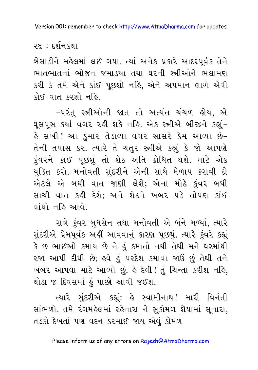#### <u> ૨૬ : દર્શનકથા</u>

બેસાડીને મહેલમાં લઈ ગયા. ત્યાં અનેક પ્રકારે આદરપૂર્વક તેને ભાતભાતનાં ભોજન જમાડયા તથા ઘરની સ્ત્રીઓને ભલામણ કરી કે તમે એને કાંઈ પૂછશો નહિ, એને અપમાન લાગે એવી કોઈ વાત કરશો નહિ.

-પરંતુ સ્ત્રીઓની જાત તો અત્યંત ચંચળ હોય, એ ઘુસપુસ કર્યા વગર રહી શકે નહિ. એક સ્ત્રીએ બીજીને કહ્યું-હે સખી! આ કુમાર તેડાવ્યા વગર સાસરે કેમ આવ્યા છે− તેની તપાસ કર. ત્યારે તે ચતુર સ્ત્રીએ કહ્યું કે જો આપણે કુંવરને કાંઈ પુછશું તો શેઠ અતિ ક્રોધિત થશે. માટે એક યુક્તિ કરો.-મનોવતી સુંદરીને એની સાથે મેળાપ કરાવી દો એટલે એ બધી વાત જાણી લેશે; એના મોઢે કુંવર બધી સાચી વાત કહી દેશે; અને શેઠને ખબર પડે તોપણ કાંઈ पांधो नढि आपे

રાત્રે કુંવર બુધસેન તથા મનોવતી એ બંને મળ્યાં, ત્યારે સુંદરીએ પ્રેમપૂર્વક અહીં આવવાનું કારણ પૂછયું. ત્યારે કુંવરે કહ્યું કે છ ભાઈઓ કમાય છે ને હું કમાતો નથી તેથી મને ઘરમાંથી રજા આપી દીધી છે; હવે હું પરદેશ કમાવા જાઉં છું તેથી તને ખબર આપવા માટે આવ્યો છું. કે દેવી! તું ચિન્તા કરીશ નકિ, થોડા જ દિવસમાં કું પાછો આવી જઈશ.

ત્યારે સુંદરીએ કહ્યું: હે સ્વામીનાથ! મારી વિનંતી સાંભળો. તમે રંગમહેલમાં રહેનારા ને સુકોમળ શૈયામાં સૂનારા, તડકો દેખતાં પણ વદન કરમાઈ જાય એવું કોમળ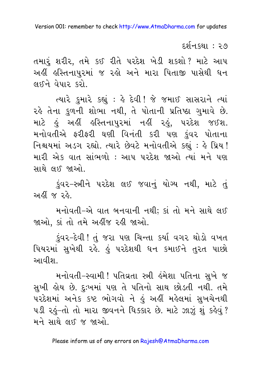દર્શન કથા : ૨૭

તમારૂં શરીર, તમે કઈ રીતે પરદેશ ખેડી શકશો? માટે આપ અહીં હસ્તિનાપુરમાં જ રહો અને મારા પિતાજી પાસેથી ધન લઈને વેપાર કરો.

ત્યારે કુમારે કહ્યું : હે દેવી ! જે જમાઈ સાસરાને ત્યાં રહે તેના કુળની શોભા નથી, તે પોતાની પ્રતિષ્ઠા ગુમાવે છે. માટે હું અહીં હસ્તિનાપુરમાં નહીં રહું, પરદેશ જઈશ. મનોવતીએ ફરીફરી ઘણી વિનંતી કરી પણ કુંવર પોતાના નિશ્ચયમાં અડગ રહ્યો. ત્યારે છેવટે મનોવતીએ કહ્યું : કે પ્રિય ! મારી એક વાત સાંભળો : આપ પરદેશ જાઓ ત્યાં મને પણ સાથે લઈ જાઓ.

કુંવર-સ્ત્રીને પરદેશ લઈ જવાનું યોગ્ય નથી, માટે તું અહીં જ રહે

મનોવતી-એ વાત બનવાની નથી; કાં તો મને સાથે લઈ જાઓ, કાં તો તમે અહીંજ રહી જાઓ.

કુંવર–દેવી ! તું જરા પણ ચિન્તા કર્યા વગર થોડો વખત પિયરમાં સુખેથી રહે. હું પરદેશથી ધન કમાઈને તુરત પાછો આવીશા

મનોવતી-સ્વામી ! પતિવ્રતા સ્ત્રી હંમેશા પતિના સુખે જ સુખી હોય છે. દુઃખમાં પણ તે પતિનો સાથ છોડતી નથી. તમે પરદેશમાં અનેક કષ્ટ ભોગવો ને હું અહીં મહેલમાં સુખચેનથી ૫ડી રહું-તો તો મારા જીવનને ધિક્કાર છે. માટે ઝાઝું શું કહેવું? મને સાથે લઈ જ જાઓ.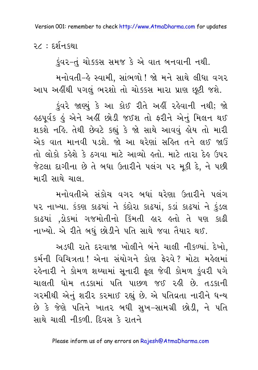२८ : ६र्शन क्था

કુંવર-તું ચોક્કસ સમજ કે એ વાત બનવાની નથી.

મનોવતી-હે સ્વામી. સાંભળો ! જો મને સાથે લીધા વગર આપ અહીંથી પગલું ભરશો તો ચોક્કસ મારા પ્રાણ છુટી જશે.

કુંવરે જાણ્યું કે આ કોઈ રીતે અહીં રહેવાની નથી; જો હઠપૂર્વક હું એને અહીં છોડી જઈશ તો ફરીને એનું મિલન થઈ શકશે નહિ. તેથી છેવટે કહ્યું કે જો સાથે આવવું હોય તો મારી એક વાત માનવી પડશે. જો આ ઘરેણાં સહિત તને લઈ જાઉં તો લોકો કહેશે કે ઠગવા માટે આવ્યો હતો. માટે તારા દેહ ઉપર જેટલા દાગીના છે તે બધા ઉતારીને પલંગ પર મૂકી દે, ને પછી મારી સાથે ચાલા

મનોવતીએ સંકોચ વગર બધાં ઘરેણા ઉતારીને પલંગ ૫૨ નાખ્યા. કંકણ કાઢયાં ને કંદોરા કાઢયાં, કડાં કાઢયાં ને કુંડલ કાઢયાં ,ડોકમાં ગજમોતીનો કિંમતી હાર હતો તે પણ કાઢી નાખ્યો. એ રીતે બધું છોડીને પતિ સાથે જવા તૈયાર થઈ.

અડધી રાતે દરવાજા ખોલીને બંને ચાલી નીકળ્યાં. દેખો. કર્મની વિચિત્રતા !એના સંયોગને કોણ ફેરવે ? મોટા મહેલમાં રહેનારી ને કોમળ શય્યામાં સુનારી ફલ જેવી કોમળ કુંવરી પગે ચાલતી ધોમ તડકામાં પતિ પાછળ જઈ રહી છે. તડકાની ગરમીથી એનું શરીર કરમાઈ રહ્યું છે. એ પતિવ્રતા નારીને ધન્ય છે કે જેણે પતિને ખાતર બધી સુખ–સામગ્રી છોડી, ને પતિ સાથે ચાલી નીકળી દિવસ કે રાતને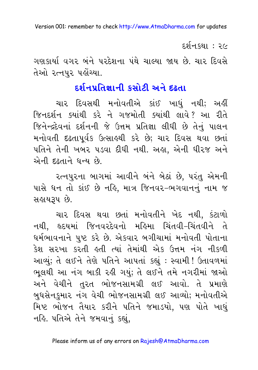દર્શન કથા : ૨૯

ગણકાર્યા વગર બંને પરદેશના પંથે ચાલ્યા જાય છે. ચાર દિવસે તેઓ ૨ત્નપુર પહોંચ્યા.

### દર્શનપ્રતિજ્ઞાની કસોટી અને દઢતા

ચાર દિવસથી મનોવતીએ કાંઈ ખાધું નથી; અહીં જિનદર્શન ક્યાંથી કરે ને ગજમોતી ક્યાંથી લાવે? આ રીતે જિનેન્દ્રદેવનાં દર્શનની જે ઉત્તમ પ્રતિજ્ઞા લીધી છે તેનું પાલન મનોવતી દઢતાપૂર્વક ઉત્સાહથી કરે છે; ચાર દિવસ થવા છતાં પતિને તેની ખબર પડવા દીધી નથી. અહ્ય, એની ધીરજ અને એની દઢતાને ધન્ય છે

રત્નપુરના બાગમાં આવીને બંને બેઠાં છે, પરંતુ એમની પાસે ધન તો કાંઈ છે નહિ, માત્ર જિનવર-ભગવાનનું નામ જ સહ્રાયરૂપ છે.

ચાર દિવસ થવા છતાં મનોવતીને ખેદ નથી, કંટાળો નથી, હૃદયમાં જિનવરદેવનો મહિમા ચિંતવી-ચિંતવીને તે ધર્મભાવનાને પુષ્ટ કરે છે. એકવાર બગીચામાં મનોવતી પોતાના કેશ સરખા કરતી હતી ત્યાં તેમાંથી એક ઉત્તમ નંગ નીકળી આવ્યું; તે લઈને તેણે પતિને આપતાં કહ્યું : સ્વામી ! ઉતાવળમાં ભલથી આ નંગ બાકી રહી ગયું; તે લઈને તમે નગરીમાં જાઓ અને વેચીને તુરત ભોજનસામગ્રી લઈ આવો. તે પ્રમાણે બુધસેનુકમાર નંગ વેચી ભોજનસામગ્રી લઈ આવ્યો; મનોવતીએ મિષ્ટ ભોજન તૈયાર કરીને પતિને જમાડયો, પણ પોતે ખાધું નહિ. પતિએ તેને જમવાનું કહ્યું,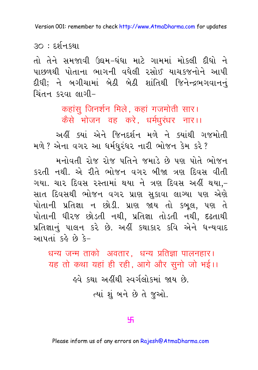૩૦ : દર્શનકથા

તો તેને સમજાવી ઉઘમ-ધંધા માટે ગામમાં મોકલી દીધો ને પાછળથી પોતાના ભાગની વધેલી રસોઈ યાચકજનોને આપી દીધી; ને બગીચામાં બેઠી બેઠી શાંતિથી જિનેન્દ્રભગવાનનં ચિંતન કરવા લાગી $-$ 

> कहांसू जिनर्शन मिले, कहां गजमोती सार। कैसे भोजन वह करे, धर्मधुरंधर नार।।

અહીં સ્થાં એને જિનદર્શન મળે ને સ્થાંથી ગજમોતી મળે ? એના વગર આ ધર્મધુરંધર નારી ભોજન કેમ કરે ?

મનોવતી રોજ રોજ પતિને જમાડે છે પણ પોતે ભોજન કરતી નથી. એ રીતે ભોજન વગર બીજા ત્રણ દિવસ વીતી ગયા. ચાર દિવસ રસ્તામાં થયા ને ત્રણ દિવસ અહીં થયા.-સાત દિવસથી ભોજન વગર પ્રાણ સુકાવા લાગ્યા પણ એણે પોતાની પ્રતિજ્ઞા ન છોડી. પ્રાણ જાય તો કબુલ, પણ તે પોતાની ધીરજ છોડતી નથી, પ્રતિજ્ઞા તોડતી નથી, દઢતાથી પ્રતિજ્ઞાનું પાલન કરે છે. અહીં કથાકાર કવિ એને ધન્યવાદ આપતાં કહે છે કે-

धन्य जन्म ताको अवतार. धन्य प्रतिज्ञा पालनहार। यह तो कथा यहां ही रही, आगे और सुनो जो भई।। <u>હવે કથા અહીંથી સ્વર્ગલોકમાં જાય છે.</u> ત્યાં શંબને છે તે જુઓ.

#### 卐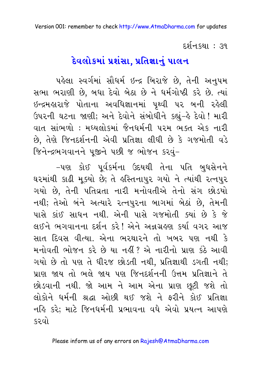દર્શન કથા : ૩૧

### <u> દેવલોકમાં પ્રશંસા, પ્રતિજ્ઞાનું પાલન</u>

પહેલા સ્વર્ગમાં સૌધર્મ ઇન્દ્ર બિરાજે છે, તેની અનુપમ સભા ભરાણી છે, બધા દેવો બેઠા છે ને ધર્મગોષ્ઠી કરે છે. ત્યાં ઇન્દ્રમહારાજે પોતાના અવધિજ્ઞાનમાં પૃથ્વી પર બની રહેલી ઉપરની ઘટના જાણી; અને દેવોને સંબોધીને કહ્યું-હે દેવો ! મારી વાત સાંભળો : મધ્યલોકમાં જૈનધર્મની પરમ ભક્ત એક નારી છે, તેણે જિનદર્શનની એવી પ્રતિજ્ઞા લીધી છે કે ગજમોતી વડે જિનેન્દ્રભગવાનને પૂજીને પછી જ ભોજન કરવં-

-પણ કોઈ પૂર્વકર્મના ઉદયથી તેના પતિ બુધસેનને ઘરમાંથી કાઢી મૂક્યો છે; તે હસ્તિનાપુર ગયો ને ત્યાંથી રત્નપુર ગયો છે. તેની પતિવ્રતા નારી મનોવતીએ તેનો સંગ છોડયો નથી; તેઓ બંને અત્યારે રત્નપુરના બાગમાં બેઠાં છે, તેમની પાસે કાંઈ સાધન નથી. એની પાસે ગજમોતી ક્યાં છે કે જે લઈને ભગવાનના દર્શન કરે! એને અન્નગ્રહણ કર્યા વગર આજ સાત દિવસ વીત્યા. એના ભરથારને તો ખબર પણ નથી કે મનોવતી ભોજન કરે છે યા નહીં ? એ નારીનો પ્રાણ કંઠે આવી ગયો છે તો પણ તે ધીરજ છોડતી નથી. પ્રતિજ્ઞાથી ડગતી નથી; પ્રાણ જાય તો ભલે જાય પણ જિનદર્શનની ઉત્તમ પ્રતિજ્ઞાને તે છોડવાની નથી. જો આમ ને આમ એના પ્રાણ છૂટી જશે તો લોકોને ધર્મની શ્રદ્ધા ઓછી થઈ જશે ને કરીને કોઈ પ્રતિજ્ઞા નહિ કરે; માટે જિનધર્મની પ્રભાવના વધે એવો પ્રયત્ન આપણે કરવો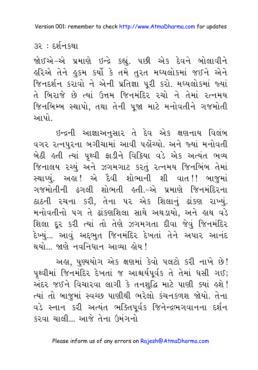૩૨ : દર્શનકથા

જોઈએ-એ પ્રમાણે ઇન્દ્રે કહ્યું. ૫છી એક દેવને બોલાવીને હરિએ તેને હુકમ કર્યો કે તમે તુરત મધ્યલોકમાં જઈને એને જિનદર્શન કરાવો ને એની પ્રતિજ્ઞા પૂરી કરો. મધ્યલોકમાં જ્યાં તે બિરાજે છે ત્યાં ઉત્તમ જિનમંદિર રચો ને તેમાં રત્નમય જિનબિમ્બ સ્થાપો, તથા તેની પૂજા માટે મનોવતીને ગજમોતી આપો

ઇન્દ્રની આજ્ઞાઅનુસાર તે દેવ એક ક્ષણનાય વિલંબ વગર રત્નપુરના બગીચામાં આવી પહોંચ્યો. અને જ્યાં મનોવતી બેઠી હતી ત્યાં પૃથ્વી ફાડીને વિક્રિયા વડે એક અત્યંત ભવ્ય જિનાલય ૨ચ્યું અને ઝગમગાટ કરતું ૨ત્નમય જિનબિંબ તેમાં સ્થાપ્યું. અહા! એ દૈવી શોભાની શી વાત!! બાજુમાં ગજમોતીની ઢગલી શોભતી હતી.-એ પ્રમાણે જિનમંદિરના ઠાઠની રચના કરી, તેના ૫૨ એક શિલાનું ઢાંકણ રાખ્યું. મનોવતીનો પગ તે ઢાંકણશિલા સાથે અથડાયો, અને હાથ વડે શિલા દૂર કરી ત્યાં તો તેણે ઝગમગતા દીવા જેવું જિનમંદિર દેખ્યું... આવું અદ્દભુત જિનમંદિર દેખતાં તેને અપાર આનંદ થયો... જાણે નવનિધાન આવ્યા હોય!

અહ્ય, પુણ્યયોગ એક ક્ષણમાં કેવો પલટો કરી નાખે છે! પૃથ્વીમાં જિનમંદિર દેખતાં જ આશ્ચર્યપૂર્વક તે તેમાં ધસી ગઈ; અંદર જઈને વિચારવા લાગી કે તનશુદ્ધિ માટે પાણી ક્યાં હશે! ત્યાં તો બાજુમાં સ્વચ્છ પાણીથી ભરેલો કંચનકળશ જોયો. તેના વડે સ્નાન કરી અત્યંત ભક્તિપૂર્વક જિનેન્દ્રભગવાનના દર્શન કરવા ચાલી... આજે તેના ઉમંગનો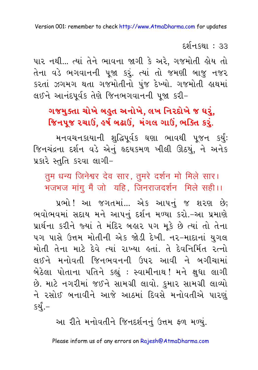દર્શન કથા : ૩૩

પાર નથી... ત્યાં તેને ભાવના જાગી કે અરે, ગજમોતી હોય તો તેના વડે ભગવાનની પુજા કરૂં. ત્યાં તો જમણી બાજુ નજર કરતાં ઝગમગ થતા ગજમોતીનો પુંજ દેખ્યો. ગજમોતી હાથમાં લઈને આનંદપૂર્વક તેણે જિનભગવાનની પૂજા કરી-

### ગજમુક્તા ચોખે બહુત અનોખે, લખ નિરદોખે જ ઘરું, જિનપુજ રચાઉં, કર્ષ બઢાઉં, મંગલ ગાઉં, ભક્તિ કરું.

મનવચનકાયાની શુદ્ધિપૂર્વક ઘણા ભાવથી પૂજન કર્યું: જિનચંદ્રના દર્શન વડે એનું દૃદયકમળ ખીલી ઊઠયું, ને અનેક પ્રકારે સ્તુતિ કરવા લાગી-

तुम धन्य जिनेश्वर देव सार, तुमरे दर्शन मो मिले सार। भजभज मांगु मैं जो यहि, जिनराजदर्शन मिले सही।।

પ્રભો !આ જગતમાં... એક આપનું જ શરણ છે; ભવોભવમાં સદાય મને આપનું દર્શન મળ્યા કરો.-આ પ્રમાણે પ્રાર્થના કરીને જ્યાં તે મંદિર બહાર ૫ગ મૂકે છે ત્યાં તો તેના ૫ગ પાસે ઉત્તમ મોતીની એક જોડી દેખી. ન૨-માદાનાં યુગલ મોતી તેના માટે દેવે ત્યાં રાખ્યા હતાં. તે દેવનિર્મિત રત્નો લઈને મનોવતી જિનભવનની ઉપર આવી ને બગીચામાં બેઠેલા પોતાના પતિને કહ્યું : સ્વામીનાથ !મને ક્ષુધા લાગી છે. માટે નગરીમાં જઈને સામગ્રી લાવો. કુમાર સામગ્રી લાવ્યો ને રસોઈ બનાવીને આજે આઠમાં દિવસે મનોવતીએ પારણું કર્યં.–

આ રીતે મનોવતીને જિનદર્શનનું ઉત્તમ ફળ મળ્યું.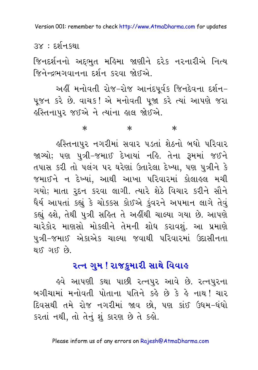૩૪ : દર્શનકથા

જિનદર્શનનો અદ્દભુત મહિમા જાણીને દરેક નરનારીએ નિત્ય જિનેન્દ્રભગવાનના દર્શન કરવા જોઈએ.

અહીં મનોવતી રોજ-રોજ આનંદપૂર્વક જિનદેવના દર્શન-પુજન કરે છે. વાચક! એ મનોવતી પુજા કરે ત્યાં આપણે જરા હસ્તિનાપુર જઈએ ને ત્યાંના હાલ જોઈએ.

> $\ast$  $\ast$  $\ast$

હસ્તિનાપુર નગરીમાં સવાર પડતાં શેઠનો બધો પરિવાર જાગ્યો; પણ પુત્રી-જમાઈ દેખાયાં નહિ. તેના રૂમમાં જઈને તપાસ કરી તો પલંગ પર ઘરેણાં ઉતારેલા દેખ્યા, પણ પુત્રીને કે જમાઈને ન દેખ્યાં, આથી આખા પરિવારમાં કોલાહલ મચી ગયો; માતા રૂદન કરવા લાગી. ત્યારે શેઠે વિચાર કરીને સૌને ધૈર્ય આપતાં કહ્યું કે ચોક્કસ કોઈએ કુંવરને અપમાન લાગે તેવું કહ્યું હશે, તેથી પુત્રી સહિત તે અહીંથી ચાલ્યા ગયા છે. આપણે ચારેકોર માણસો મોકલીને તેમની શોધ કરાવશું. આ પ્રમાણે પુત્રી-જમાઈ એકાએક ચાલ્યા જવાથી પરિવારમાં ઉદાસીનતા  $93.7810.7819$ 

### ૨ત્ન ગુમ ! રાજ<u>ક</u>મારી સાથે વિવાહ

હવે આપણી કથા પાછી રત્નપુર આવે છે. રત્નપુરના બગીચામાં મનોવતી પોતાના પતિને કર્ફ છે કે ફે નાથ! ચાર દિવસથી તમે રોજ નગરીમાં જાવ છો, પણ કાંઈ ઉઘમ-ધંધો કરતાં નથી, તો તેનું શું કારણ છે તે કહો.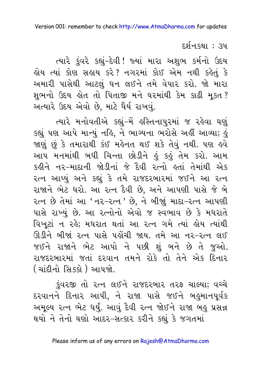દર્શનકથા : ૩૫

ત્યારે કુંવરે કહ્યું-દેવી! જ્યાં મારા અશુભ કર્મનો ઉદય હોય ત્યાં કોણ સહાય કરે? નગરમાં કોઈ એમ નથી કહેતું કે અમારી પાસેથી આટલું ધન લઈને તમે વેપાર કરો. જો મારા શુભનો ઉદય હોત તો પિતાજી મને ઘરમાંથી કેમ કાઢી મુકત? અત્યારે ઉદય એવો છે, માટે ધૈર્ય રાખવું.

ત્યારે મનોવતીએ કહ્યું-મેં હસ્તિનાપુરમાં જ રહેવા ઘણું કહ્યું પણ આપે માન્યું નહિ, ને ભાગ્યના ભરોસે અહીં આવ્યા; હું જાણું છું કે તમારાથી કંઈ મહેનત થઈ શકે તેવું નથી. પણ હવે આપ મનમાંથી બધી ચિન્તા છોડીને કું કુકું તેમ કરો. આમ કઢીને નર-માદાની જોડીનાં જે દૈવી રત્નો હતાં તેમાંથી એક રત્ન આપ્યું અને કહ્યું કે તમે રાજદરબારમાં જઈને આ રત્ન રાજાને ભેટ ધરો. આ રત્ન દૈવી છે, અને આપણી પાસે જે બે રત્ન છે તેમાં આ 'નર-રત્ન ' છે, ને બીજાં માદા-રત્ન આપણી પાસે રાખ્યું છે. આ રત્નોનો એવો જ સ્વભાવ છે કે મધરાતે વિખુટાં ન રહે; મધરાત થતાં આ રત્ન ગમે ત્યાં હોય ત્યાંથી ઊડીને બીજાં ૨ત્ન પાસે પહોંચી જાય. તમે આ ન૨-૨ત્ન લઈ જઈને રાજાને ભેટ આપો ને પછી શું બને છે તે જુઓ. રાજદરબારમાં જતાં દરવાન તમને રોકે તો તેને એક દિનાર ( ચાંદીનો સિક્કો ) આપજો.

કુંવરજી તો રત્ન લઈને રાજદરબાર તરફ ચાલ્યા; વચ્ચે દરવાનને દિનાર આપી, ને રાજા પાસે જઈને બહુમાનપૂર્વક અમુલ્ય ૨ત્ન ભેટ ધર્યું. આવું દૈવી ૨ત્ન જોઈને રાજા બહુ પ્રસન્ન થયો ને તેનો ઘણો આદર-સત્કાર કરીને કહ્યું કે જગતમાં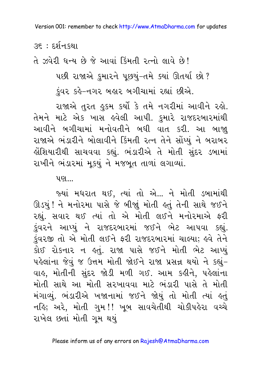<u>૩૬ : દર્શનકથા</u>

ते ઝુવેરી ધન્ય છે જે આવાં કિંમતી રત્નો લાવે છે!

પછી રાજાએ કુમારને પૂછયું-તમે ક્યાં ઊતર્યા છો ?

કંવર કર્લે-નગર બહાર બગીચામાં રહ્યાં છીએ.

રાજાએ તુરત હુકમ કર્યો કે તમે નગરીમાં આવીને રહો. તેમને માટે એક ખાસ હવેલી આપી. કુમારે રાજદરબારમાંથી આવીને બગીચામાં મનોવતીને બધી વાત કરી. આ બાજા રાજાએ ભંડારીને બોલાવીને કિંમતી રત્ન તેને સોંપ્યું ને બરાબર લોશિયારીથી સાચવવા કહ્યું. ભંડારીએ તે મોતી સુંદર ડબામાં રાખીને ભંડારમાં મુકયું ને મજબૂત તાળાં લગાવ્યાં.

<u>પણ…</u>

જ્યાં મધરાત થઈ, ત્યાં તો એ... ને મોતી ડબામાંથી ઊડયું ! ને મનોરમા પાસે જે બીજાું મોતી હતું તેની સાથે જઈને રહ્યું. સવાર થઈ ત્યાં તો એ મોતી લઈને મનોરમાએ કરી કુંવરને આપ્યું ને રાજદરબારમાં જઈને ભેટ આપવા કહ્યું. કુંવરજી તો એ મોતી લઈને ફરી રાજદરબારમાં ચાલ્યા; હવે તેને કોઈ રોકનાર ન કતું. રાજા પાસે જઈને મોતી ભેટ આપ્યું પહેલાંના જેવું જ ઉત્તમ મોતી જોઈને રાજા પ્રસન્ન થયો ને કહ્યું-વાહ, મોતીની સુંદર જોડી મળી ગઈ. આમ કહીને, પહેલાંના મોતી સાથે આ મોતી સરખાવવા માટે ભંડારી પાસે તે મોતી મંગાવ્યું. ભંડારીએ ખજાનામાં જઈને જોયું તો મોતી ત્યાં કતું નહિ; અરે, મોતી ગુમ!! ખૂબ સાવચેતીથી ચોકીપહેરા વચ્ચે રાખેલ છતાં મોતી ગુમ થયું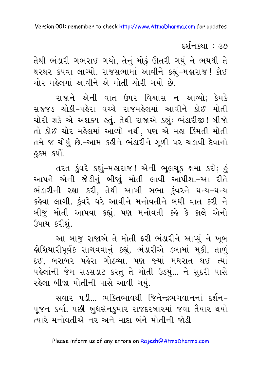દર્શનકથા : ૩૭

તેથી ભંડારી ગભરાઈ ગયો, તેનું મોઢું ઊતરી ગયું ને ભયથી તે થરથર કંપવા લાગ્યો. રાજસભામાં આવીને કહ્યું-મહારાજ! કોઈ ચોર મહેલમાં આવીને એ મોતી ચોરી ગયો છે.

રાજાને એની વાત ઉપર વિશ્વાસ ન આવ્યો; કેમકે સજ્જડ ચોકી-પહેરા વચ્ચે રાજમહેલમાં આવીને કોઈ મોતી ચોરી શકે એ અશક્ય હતું. તેથી રાજાએ કહ્યું: ભંડારીજી! બીજો તો કોઈ ચોર મહેલમાં આવ્યો નથી, પણ એ મહા કિંમતી મોતી તમે જ ચોર્યું છે.-આમ કહીને ભંડારીને શૂળી પર ચડાવી દેવાનો ફકમ કર્યો.

તરત કુંવરે કહ્યું-મહારાજ! એની ભૂલચૂક ક્ષમા કરો; હું આપને એની જોડીનું બીજાું મોતી લાવી આપીશ.-આ રીતે ભંડારીની રક્ષા કરી, તેથી આખી સભા કુંવરને ધન્ય-ધન્ય કહેવા લાગી. કુંવરે ઘરે આવીને મનોવતીને બધી વાત કરી ને બીજું મોતી આપવા કહ્યું. પણ મનોવતી કહે કે કાલે એનો ઉપાય કરીશું.

આ બાજુ રાજાએ તે મોતી ફરી ભંડારીને આપ્યું ને ખુબ હોશિયારીપૂર્વક સાચવવાનું કહ્યું. ભંડારીએ ડબામાં મૂકી, તાળું દઈ, બરાબર પહેરા ગોઠવ્યા. પણ જ્યાં મધરાત થઈ ત્યાં પહેલાંની જેમ સડસડાટ કરતું તે મોતી ઉડયું... ને સુંદરી પાસે રહેલા બીજા મોતીની પાસે આવી ગયું.

સવાર પડી... ભક્તિભાવથી જિનેન્દ્રભગવાનનાં દર્શન-પુજન કર્યાં. પછી બુધસેનકુમાર રાજદરબારમાં જવા તૈયાર થયો ત્યારે મનોવતીએ નર અને માદા બંને મોતીની જોડી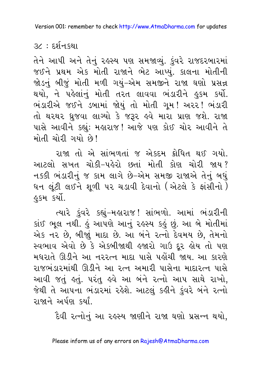૩૮ : દર્શનકથા

તેને આપી અને તેનું રહસ્ય પણ સમજાવ્યું. કુંવરે રાજદરબારમાં જઈને પ્રથમ એક મોતી રાજાને ભેટ આપ્યું. કાલના મોતીની જોડનું બીજું મોતી મળી ગયું-એમ સમજીને રાજા ઘણો પ્રસન્ન થયો, ને પહેલાંનું મોતી તરત લાવવા ભંડારીને હુકમ કર્યો. ભંડારીએ જઈને ડબામાં જોયું તો મોતી ગૂમ! અરર! ભંડારી તો થરથર ધુજવા લાગ્યો કે જરૂર હવે મારા પ્રાણ જશે. રાજા પાસે આવીને કહ્યું: મહારાજ! આજે પણ કોઈ ચોર આવીને તે મોતી ચોરી ગયો છે!

રાજા તો એ સાંભળતાં જ એકદમ ક્રોધિત થઈ ગયો. આટલો સખત ચોકી-પહેરો છતાં મોતી કોણ ચોરી જાય? નક્કી ભંડારીનું જ કામ લાગે છે–એમ સમજી રાજાએ તેનું બધું ધન લૂંટી લઈને શુળી પર ચડાવી દેવાનો (એટલે કે ફાંસીનો ) *§§મ કર્યો.* 

ત્યારે ડુંવરે કહ્યું-મહારાજ! સાંભળો. આમાં ભંડારીની કાંઈ ભૂલ નથી. કું આપણે આનું રહસ્ય કકું છું. આ બે મોતીમાં એક નર છે. બીજાં માદા છે. આ બંને રત્નો દેવમય છે. તેમનો સ્વભાવ એવો છે કે એકબીજાથી હજારો ગાઉ દર હોય તો પણ મધરાતે ઊડીને આ નરરત્ન માદા પાસે પહોંચી જાય. આ કારણે રાજભંડારમાંથી ઊડીને આ રત્ન અમારી પાસેના માદારત્ન પાસે આવી જતું હતું. પરંતુ હવે આ બંને રત્નો આપ સાથે રાખો, જેથી તે આપના ભંડારમાં રહેશે. આટલં કહીને કંવરે બંને રત્નો રાજાને અર્પણ કર્યાં

દૈવી રત્નોનું આ રહસ્ય જાણીને રાજા ઘણો પ્રસન્ન થયો,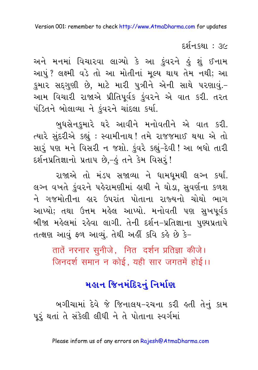દર્શન કથા *: ૩*૯

અને મનમાં વિચારવા લાગ્યો કે આ કુંવરને હું શું ઈનામ આપું? લક્ષ્મી વડે તો આ મોતીનાં મૂલ્ય થાય તેમ નથી; આ કુમાર સદ્ગુણી છે, માટે મારી પુત્રીને એની સાથે પરણાવું.-આમ વિચારી રાજાએ પ્રીતિપૂર્વક કુંવરને એ વાત કરી. તરત પંડિતને બોલાવ્યા ને કુંવરને ચાંદલા કર્યા.

બુધસેનુકુમારે ઘરે આવીને મનોવતીને એ વાત કરી. ત્યારે સુંદરીએ કહ્યું : સ્વામીનાથ ! તમે રાજજમાઈ થયા એ તો સારું પણ મને વિસરી ન જશો. કુંવરે કહ્યું-દેવી ! આ બધો તારી દર્શનપ્રતિજ્ઞાનો પ્રતાપ છે,-હું તને કેમ વિસરૂં!

રાજાએ તો મંડપ સજાવ્યા ને ધામધુમથી લગ્ન કર્યાં. લગ્ન વખતે કુંવરને પહેરામણીમાં હાથી ને ઘોડા, સુવર્ણના કળશ ને ગજમોતીના હાર ઉપરાંત પોતાના રાજ્યનો ચોથો ભાગ આપ્યો; તથા ઉત્તમ મહેલ આપ્યો. મનોવતી પણ સુખપૂર્વક બીજા મહેલમાં રહેવા લાગી. તેની દર્શન-પ્રતિજ્ઞાના પુણ્યપ્રતાપે તત્ક્ષણ આવું ફળ આવ્યું. તેથી અહીં કવિ કહે છે કે-

तातें नरनार सुनीजे, नित दर्शन प्रतिज्ञा कीजे। जिनदर्श समान न कोई, यही सार जगतमें होई।।

### મહાન જિનમંદિરનં નિર્માણ

બગીચામાં દેવે જે જિનાલય–રચના કરી હતી તેનું કામ પૂરૂં થતાં તે સંકેલી લીધી ને તે પોતાના સ્વર્ગમાં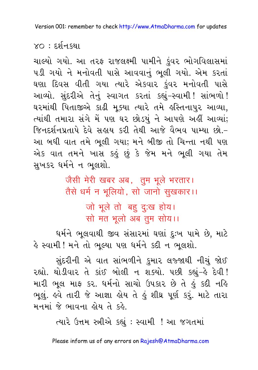### $XO: E2[1.52]$

ચાલ્યો ગયો. આ તરફ રાજલક્ષ્મી પામીને ડુંવર ભોગવિલાસમાં પડી ગયો ને મનોવતી પાસે આવવાનું ભૂલી ગયો. એમ કરતાં ઘણા દિવસ વીતી ગયા ત્યારે એકવાર કુંવર મનોવતી પાસે આવ્યો. સુંદરીએ તેનું સ્વાગત કરતાં કહ્યું-સ્વામી! સાંભળો! ઘરમાંથી પિતાજીએ કાઢી મુક્યા ત્યારે તમે હસ્તિનાપુર આવ્યા, ત્યાંથી તમારા સંગે મેં પણ ઘર છોડયું ને આપણે અહીં આવ્યાં; જિનદર્શનપ્રતાપે દેવે સહાય કરી તેથી આજે વૈભવ પામ્યા છો.-આ બધી વાત તમે ભૂલી ગયા; મને બીજી તો ચિન્તા નથી પણ એક વાત તમને ખાસ કહું છું કે જેમ મને ભૂલી ગયા તેમ સુખકર ધર્મને ન ભૂલશો.

> जैसी मेरी खबर अब, तूम भूले भरतार। तैसे धर्म न भूलियो, सो जानो सुखकार।। जो भूले तो बहु दुःख होय। सो मत भूलो अब तुम सोय।।

ધર્મને ભુલવાથી જીવ સંસારમાં ઘણાં દુઃખ પામે છે, માટે હે સ્વામી ! મને તો ભૂલ્યા પણ ધર્મને કદી ન ભૂલશો.

સુંદરીની એ વાત સાંભળીને કુમાર લજ્જાથી નીચું જોઈ રહ્યો. થોડીવાર તે કાંઈ બોલી ન શક્યો. ૫છી કહ્યું-હે દેવી! મારી ભૂલ માફ કર. ધર્મનો સાચો ઉપકાર છે તે હું કદી નહિ ભૂલું. હવે તારી જે આજ્ઞા હોય તે હું શીઘ્ર પૂર્ણ કરું. માટે તારા મનમાં જે ભાવના હોય તે કહે.

ત્યારે ઉત્તમ સ્ત્રીએ કહ્યું : સ્વામી ! આ જગતમાં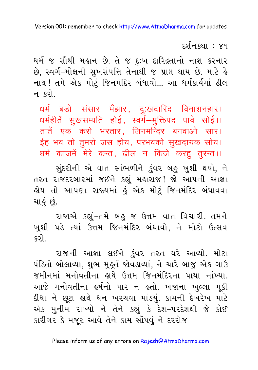દર્શન કથા : ૪૧

ધર્મ જ સૌથી મહાન છે. તે જ દુઃખ દારિદ્રતાનો નાશ કરનાર છે. સ્વર્ગ-મોક્ષની સુખસંપત્તિ તેનાથી જ પ્રાપ્ત થાય છે. માટે હે નાથ ! તમે એક મોટું જિનમંદિર બંધાવો... આ ધર્મકાર્યમાં ઢીલ ન કરો

धर्म बडो संसार मँझार, दुःखदारिद विनाशनहार। धर्महीतें सुखसम्पति होई, स्वर्ग–मूक्तिपद पावे सोई।। तातें एक करो भरतार. जिनमन्दिर बनवाओ सार। ईह भव तो तुमरो जस होय, परभवको सुखदायक सोय। धर्म काजमें मेरे कन्त, ढील न किजे करह तूरन्त।।

સુંદરીની એ વાત સાંભળીને કુંવર બહુ ખુશી થયો, ને તરત રાજદરબારમાં જઈને કહ્યું મહારાજ! જો આપની આજ્ઞા હોય તો આપણા રાજ્યમાં હું એક મોટું જિનમંદિર બંધાવવા ચાહું છું.

રાજાએ કહ્યું-તમે બહુ જ ઉત્તમ વાત વિચારી. તમને ખુશી પડે ત્યાં ઉત્તમ જિનમંદિર બંધાવો, ને મોટો ઉત્સવ કરો

રાજાની આજ્ઞા લઈને કુંવર તરત ઘરે આવ્યો. મોટા પંડિતો બોલાવ્યા, શુભ મુક્ર્ત જોવડાવ્યાં, ને ચારે બાજુ એક ગાઉ જમીનમાં મનોવતીના હાથે ઉત્તમ જિનમંદિરના પાયા નાંખ્યા. આજે મનોવતીના હર્ષનો પાર ન હતો. ખજાના ખલ્લા મકી દીધા ને છૂટા લુથે ધન ખરચવા માંડયું. કામની દેખરેખ માટે એક મુનીમ રાખ્યો ને તેને કહ્યું કે દેશ-પરદેશથી જે કોઈ કારીગર કે મજૂર આવે તેને કામ સોંપવું ને દરરોજ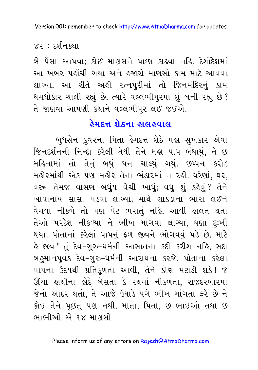$x_3$  : દર્શન $su$ ા

બે પૈસા આપવા: કોઈ માણસને પાછા કાઢવા નહિ. દેશોદેશમાં આ ખબર પહોંચી ગયા અને હજારો માણસો કામ માટે આવવા લાગ્યા. આ રીતે અહીં રત્નપુરીમાં તો જિનમંદિરનું કામ ધમધોકાર ચાલી રહ્યું છે. ત્યારે વલ્લભીપુરમાં શું બની રહ્યું છે? તે જાણવા આપણી કથાને વલ્લભીપુર લઈ જઈએ.

### <u>હેમદત્ત શેઠના હાલહવાલ</u>

બુધસેન ડુંવરના પિતા હેમદત્ત શેઠે મહા સુખકાર એવા જિનદર્શનની નિન્દા કરેલી તેથી તેને મહા પાપ બંધાયું, ને છ મહિનામાં તો તેનું બધું ધન ચાલ્યું ગયું. છપ્પન કરોડ મહોરમાંથી એક પણ મહોર તેના ભંડારમાં ન રહી. ઘરેણાં, ઘર, વસ્ત્ર તેમજ વાસણ બઘુંય વેચી ખાઘું; વધુ શું કહેવું? તેને ખાવાનાય સાંસા ૫ડવા લાગ્યા; માથે લાકડાના ભારા લઈને વેચવા નીકળે તો પણ પેટ ભરાતું નહિ. આવી હાલત થતાં તેઓ પરદેશ નીકળ્યા ને ભીખ માંગવા લાગ્યા, ઘણા દુઃખી થયા. પોતાનાં કરેલાં પાપનું ફળ જીવને ભોગવવું પડે છે. માટે કે જીવ ! તું દેવ-ગુરુ-ધર્મની આસાતના કદી કરીશ નહિ, સદા બહુમાનપૂર્વક દેવ–ગુરુ–ધર્મની આરાધના કરજે. પોતાના કરેલા પાપના ઉદયથી પ્રતિકુળતા આવી, તેને કોણ મટાડી શકે! જે ઊંચા હાથીના હોદ્દે બેસતા કે રથમાં નીકળતા, રાજદરબારમાં જેનો આદર થતો, તે આજે ઉઘાડે પગે ભીખ માંગતા ફરે છે ને કોઈ તેને પછતં પણ નથી. માતા. પિતા. છ ભાઈઓ તથા છ ભાભીઓ એ ૧૪ માણસો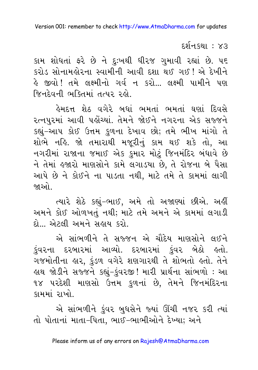દર્શનકથા : ૪૩

કામ શોધતાં ફરે છે ને દુઃખથી ધીરજ ગુમાવી રહ્યાં છે. ૫૬ કરોડ સોનામહોરના સ્વામીની આવી દશા થઈ ગઈ ! એ દેખીને હે જીવો ! તમે લક્ષ્મીનો ગર્વ ન કરો... લક્ષ્મી પામીને પણ જિનદેવની ભક્તિમાં તત્પર રહો.

ફેમદત્ત શેઠ વગેરે બધાં ભમતાં ભમતાં ઘણાં દિવસે રત્નપુરમાં આવી પહોંચ્યાં. તેમને જોઈને નગરના એક સજ્જને કહ્યું-આપ કોઈ ઉત્તમ કળના દેખાવ છો; તમે ભીખ માંગો તે શોભે નહિ. જો તમારાથી મજૂરીનું કામ થઈ શકે તો, આ નગરીમાં રાજાના જમાઈ એક કુમાર મોટું જિનમંદિર બંધાવે છે ને તેમાં હજારો માણસોને કામે લગાડયા છે, તે રોજના બે પૈસા આપે છે ને કોઈને ના પાડતા નથી. માટે તમે તે કામમાં લાગી જાઓ .

ત્યારે શેઠે કહ્યું-ભાઈ, અમે તો અજાણ્યાં છીએ. અહીં અમને કોઈ ઓળખતું નથી; માટે તમે અમને એ કામમાં લગાડી દો... એટલી અમને સહાય કરો.

એ સાંભળીને તે સજ્જન એ ચૌદેય માણસોને લઈને કુંવરના દરબારમાં આવ્યો. દરબારમાં કુંવર બેઠો હતો. ગજમોતીના હાર, કુંડળ વગેરે શણગારથી તે શોભતો હતો. તેને હાથ જોડીને સજ્જને કહ્યું-કુંવરજી! મારી પ્રાર્થના સાંભળો : આ ૧૪ પરદેશી માણસો ઉત્તમ કળનાં છે. તેમને જિનમંદિરના કામમાં રાખો.

એ સાંભળીને કુંવર બુધસેને જ્યાં ઊંચી નજર કરી ત્યાં તો પોતાનાં માતા-પિતા, ભાઈ-ભાભીઓને દેખ્યા; અને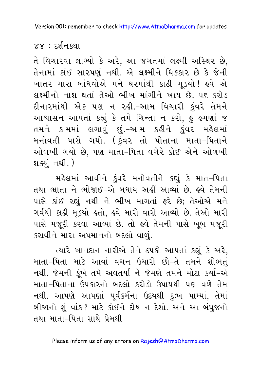#### $88 : 58 - 88$

તે વિચારવા લાગ્યો કે અરે, આ જગતમાં લક્ષ્મી અસ્થિર છે, તેનામાં કાંઈ સારપણું નથી. એ લક્ષ્મીને ધિક્કાર છે કે જેની ખાતર મારા બાંધવોએ મને ઘરમાંથી કાઢી મ*ક*યો! <u>હવે</u> એ લક્ષ્મીનો નાશ થતાં તેઓ ભીખ માંગીને ખાય છે. ૫૬ કરોડ દીનારમાંથી એક પણ ન રહી.–આમ વિચારી કંવરે તેમને આશાસન આપતાં કહ્યું કે તમે ચિન્તા ન કરો, હું હમણાં જ તમને કામમાં લગાવું છું.–આમ કહીને કુંવર મહેલમાં મનોવતી પાસે ગયો. (કુંવર તો પોતાના માતા–પિતાને ઓળખી ગયો છે, પણ માતા–પિતા વગેરે કોઈ એને ઓળખી શ*ક્*યં નથી.)

મહેલમાં આવીને કુંવરે મનોવતીને કહ્યું કે માત-પિતા તથા ભ્રાતા ને ભોજાઈ-એ બધાય અહીં આવ્યાં છે. હવે તેમની પાસે કાંઈ રહ્યું નથી ને ભીખ માગતાં ફરે છે; તેઓએ મને ગર્વથી કાઢી મૂક્યો હતો, હવે મારો વારો આવ્યો છે. તેઓ મારી પાસે મજૂરી કરવા આવ્યાં છે. તો હવે તેમની પાસે ખૂબ મજૂરી કરાવીને મારા અપમાનનો બદલો વાળં.

ત્યારે ખાનદાન નારીએ તેને ઠપકો આપતાં કહ્યું કે અરે, માતા–પિતા માટે આવાં વચન ઉચારો છો–તે તમને શોભતું નથી. જેમની કુંખે તમે અવતર્યા ને જેમણે તમને મોટા કર્યા–એ માતા–પિતાના ઉપકારનો બદલો કરોડો ઉપાયથી પણ વળે તેમ નથી. આપણે આપણાં પૂર્વકર્મના ઉદયથી <u>દ</u>ુઃખ પામ્યાં, તેમાં બીજાનો શું વાંક? માટે કોઈને દોષ ન દેશો. અને આ બંધુજનો તથા માતા–પિતા સાથે પ્રેમથી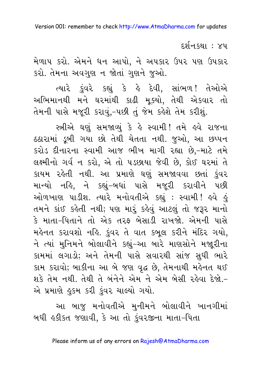દર્શનકથા : ૪૫

મેળાપ કરો. એમને ધન આપો, ને અપકાર ઉપર પણ ઉપકાર કરો. તેમના અવગુણ ન જોતાં ગુણને જુઓ.

ત્યારે કુંવરે કહ્યું કે હે દેવી, સાંભળ! તેઓએ અભિમાનથી મને ઘરમાંથી કાઢી મુક્યો, તેથી એકવાર તો તેમની પાસે મજૂરી કરાવું,-પછી તું જેમ કહેશે તેમ કરીશું.

સ્ત્રીએ ઘણું સમજાવ્યું કે હે સ્વામી! તમે હવે રાજના ઠઠારામાં ડૂબી ગયા છો તેથી ચેતતા નથી. જુઓ, આ છપ્પન કરોડ દીનારના સ્વામી આજ ભીખ માગી રહ્યા છે,-માટે તમે લક્ષ્મીનો ગર્વન કરો, એ તો પડછાયા જેવી છે, કોઈ ઘરમાં તે કાયમ રહેતી નથી. આ પ્રમાણે ઘણું સમજાવવા છતાં કુંવર માન્યો નહિ, ને કહ્યું-બધાં પાસે મજૂરી કરાવીને પછી ઓળખાણ પાડીશ. ત્યારે મનોવતીએ કહ્યું : સ્વામી ! હવે હું તમને કાંઈ કહેતી નથી; પણ મારૂં કહેવું આટલું તો જરૂર માનો કે માતા-પિતાને તો એક તરફ બેસાડી રાખજો. એમની પાસે મહેનત કરાવશો નહિ. કુંવર તે વાત કબુલ કરીને મંદિર ગયો, ને ત્યાં મુનિમને બોલાવીને કહ્યું-આ બારે માણસોને મજારીના કામમાં લગાડો; અને તેમની પાસે સવારથી સાંજ સુધી ભારે કામ કરાવો; બાકીના આ બે જણ વૃદ્ધ છે, તેમનાથી મહેનત થઈ શકે તેમ નથી. તેથી તે બંનેને એમ ને એમ બેસી રહેવા દેજો.-એ પ્રમાણે હુકમ કરી કુંવર ચાલ્યો ગયો.

આ બાજુ મનોવતીએ મુનીમને બોલાવીને ખાનગીમાં બધી હકીકત જણાવી, કે આ તો કુંવરજીના માતા-પિતા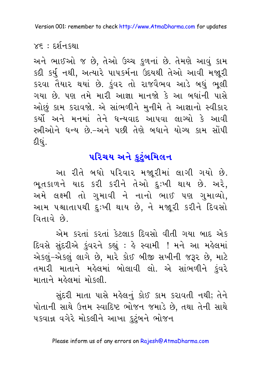$x \epsilon$  : દર્શનકથા

અને ભાઈઓ જ છે, તેઓ ઉચ્ચ કુળનાં છે. તેમણે આવું કામ કદી કર્યુ નથી, અત્યારે પાપકર્મના ઉદયથી તેઓ આવી મજૂરી કરવા તૈયાર થયાં છે. કુંવર તો રાજવૈભવ આડે બધું ભૂલી ગયા છે. પણ તમે મારી આજ્ઞા માનજો કે આ બધાંની પાસે ઓછું કામ કરાવજો. એ સાંભળીને મુનીમે તે આજ્ઞાનો સ્વીકાર કર્યો અને મનમાં તેને ધન્યવાદ આપવા લાગ્યો કે આવી સ્ત્રીઓને ધન્ય છે.–અને પછી તેણે બધાને યોગ્ય કામ સોંપી દીધું.

### પરિચય અને કટંબમિલન

આ રીતે બધો પરિવાર મજારીમાં લાગી ગયો છે. ભૂતકાળને યાદ કરી કરીને તેઓ દુઃખી થાય છે. અરે, અમે લક્ષ્મી તો ગમાવી ને નાનો ભાઈ પણ ગમાવ્યો. આમ પશ્ચાતાપથી દુઃખી થાય છે, ને મજૂરી કરીને દિવસો વિતાવે છે.

એમ કરતાં કરતાં કેટલાક દિવસો વીતી ગયા બાદ એક દિવસે સુંદરીએ કુંવરને કહ્યું : હે સ્વામી ! મને આ મહેલમાં એકલું-એકલું લાગે છે, મારે કોઈ બીજી સખીની જરૂર છે, માટે તમારી માતાને મહેલમાં બોલાવી લો. એ સાંભળીને કંવરે માતાને મહેલમાં મોકલી.

સુંદરી માતા પાસે મહેલનું કોઈ કામ કરાવતી નથી; તેને પોતાની સાથે ઉત્તમ સ્વાદિષ્ટ ભોજન જમાડે છે. તથા તેની સાથે પકવાન્ન વગેરે મોકલીને આખા કુટુંબને ભોજન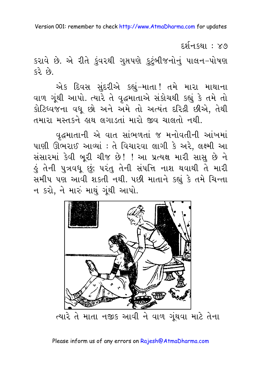દર્શન કથા : ૪૭

કરાવે છે. એ રીતે કુંવરથી ગુપ્તપણે કુટુંબીજનોનું પાલન-પોષણ  $6352$ 

એક દિવસ સુંદરીએ કહ્યું-માતા! તમે મારા માથાના વાળ ગૂંથી આપો. ત્યારે તે વૃદ્ધમાતાએ સંકોચથી કહ્યું કે તમે તો કોટિધ્વજના વધૂ છો અને અમે તો અત્યંત દરિદ્રી છીએ, તેથી તમારા મસ્તકને હાથ લગાડતાં મારો જીવ ચાલતો નથી.

વૃદ્ધમાતાની એ વાત સાંભળતાં જ મનોવતીની આંખમાં પાણી ઊભરાઈ આવ્યાં : તે વિચારવા લાગી કે અરે, લક્ષ્મી આ સંસારમાં કેવી બુરી ચીજ છે! ! આ પ્રત્યક્ષ મારી સાસુ છે ને ડું તેની પુત્રવધૂ છું; પરંતુ તેની સંપત્તિ નાશ થવાથી તે મારી સમીપ પણ આવી શકતી નથી. પછી માતાને કહ્યું કે તમે ચિન્તા ન કરો, ને મારું માથું ગુંથી આપો.

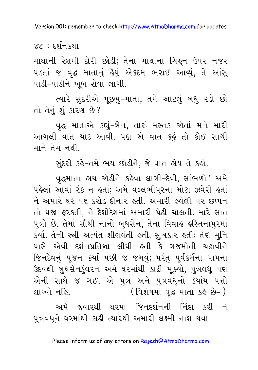$XZ : E\mathfrak{z}$ नि स्थ।

માથાની રેશમી દોરી છોડી; તેના માથાના ચિઙ્ન ઉપર નજર ૫ડતાં જ વૃદ્ધ માતાનું હૈયું એકદમ ભરાઈ આવ્યું, તે આંસુ પાડી-પાડીને ખુબ રોવા લાગી.

ત્યારે સુંદરીએ પુછયું-માતા, તમે આટલું બધું રડો છો તો તેનું શું કારણ છે?

વુદ્ધ માતાએ કહ્યું-બેન, તારું મસ્તક જોતાં મને મારી આગલી વાત યાદ આવી. પણ એ વાત કહું તો કોઈ સાચી માને તેમ નથી.

સુંદરી કર્લન્તમે ભય છોડીને, જે વાત હોય તે કહો.

વૃદ્ધમાતા હાથ જોડીને કહેવા લાગી-દેવી, સાંભળો ! અમે પહેલાં આવાં રંક ન હતાં; અમે વલ્લભીપુરના મોટા ઝવેરી હતાં ને અમારે ઘરે ૫૬ કરોડ દીનાર હતી. અમારી હવેલી ૫૨ છપ્પન તો ધજા ફરકતી, ને દેશોદેશમાં અમારી પેઢી ચાલતી. મારે સાત પુત્રો છે, તેમાં સૌથી નાનો બુધસેન, તેના વિવાહ હસ્તિનાપુરમાં કર્યા. તેની સ્ત્રી અત્યંત શીલવંતી હતી; સુખકાર હતી; તેણે મુનિ પાસે એવી દર્શનપ્રતિજ્ઞા લીધી હતી કે ગજમોતી ચઢાવીને જિનદેવનું પૂજન કર્યા પછી જ જમવું; પરંતુ પૂર્વકર્મના પાપના ઉદયથી બુધસેનકુંવરને અમે ઘરમાંથી કાઢી મુક્યો, પુત્રવધુ પણ એની સાથે જ ગઈ. એ પુત્ર અને પુત્રવધુનો ક્યાંય પત્તો લાગ્યો નહિ. ( વિશેષમાં વૃદ્ધ માતા કહે છે- )

અમે જ્યારથી ઘરમાં જિનદર્શનની નિંદા કરી ને પુત્રવધુને ઘરમાંથી કાઢી ત્યારથી અમારી લક્ષ્મી નાશ થવા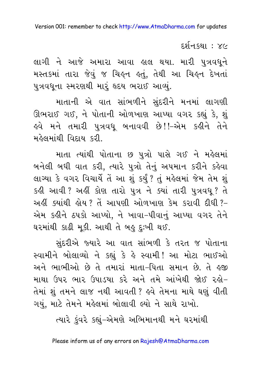દર્શનકથા : ૪૯

લાગી ને આજે અમારા આવા હાલ થયા. મારી પુત્રવધૂને મસ્તકમાં તારા જેવું જ ચિક્ષ્ન કતું, તેથી આ ચિક્ષ્ન દેખતાં પુત્રવધુના સ્મરણથી મારૂં હૃદય ભરાઈ આવ્યું.

માતાની એ વાત સાંભળીને સુંદરીને મનમાં લાગણી ઊભરાઈ ગઈ, ને પોતાની ઓળખાણ આપ્યા વગર કહ્યું કે, શું ઙ્વે મને તમારી પુત્રવધુ બનાવવી છે!!–એમ કહીને તેને મહેલમાંથી વિદાય કરી

માતા ત્યાંથી પોતાના છ પુત્રો પાસે ગઈ ને મહેલમાં બનેલી બધી વાત કરી, ત્યારે પુત્રો તેનું અપમાન કરીને કહેવા લાગ્યા કે વગર વિચાર્યે તેં આ શું કર્યું ? તું મહેલમાં જેમ તેમ શું કહી આવી? અહીં કોણ તારો પુત્ર ને ક્યાં તારી પુત્રવધુ? તે અહીં ક્યાંથી હોય ? તેં આપણી ઓળખાણ કેમ કરાવી દીધી ?-એમ કહીને ઠપકો આપ્યો, ને ખાવા-પીવાનું આપ્યા વગર તેને ઘરમાંથી કાઢી મૂકી. આથી તે બહુ દુઃખી થઈ.

સુંદરીએ જ્યારે આ વાત સાંભળી કે તરત જ પોતાના સ્વામીને બોલાવ્યો ને કહ્યું કે હે સ્વામી! આ મોટા ભાઈઓ અને ભાભીઓ છે તે તમારાં માતા-પિતા સમાન છે. તે ઙજી માથા ઉપર ભાર ઉપાડયા કરે અને તમે આંખેથી જોઈ રહો-તેમાં શું તમને લાજ નથી આવતી ? હવે તેમના માથે ઘણું વીતી ગયું, માટે તેમને મહેલમાં બોલાવી લ્યો ને સાથે રાખો.

ત્યારે કુંવરે કહ્યું–એમણે અભિમાનથી મને ઘરમાંથી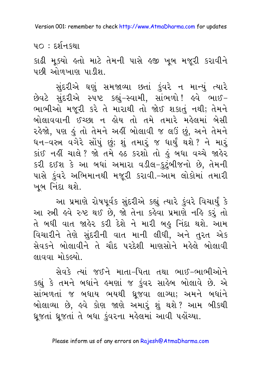૫૦ : દર્શનઙથા

કાઢી મૂક્યો હતો માટે તેમની પાસે હજી ખૂબ મજૂરી કરાવીને પછી ઓળખાણ પાડીશ

સુંદરીએ ઘણું સમજાવ્યા છતાં કુંવરે ન માન્યું ત્યારે છેવટે સુંદરીએ સ્પષ્ટ કહ્યું-સ્વામી, સાંભળો! હવે ભાઈ-ભાભીઓ મજૂરી કરે તે મારાથી તો જોઈ શકાતું નથી; તેમને બોલાવવાની ઈચ્છા ન હોય તો તમે તમારે મહેલમાં બેસી રહેજો, પણ હું તો તેમને અહીં બોલાવી જ લઉં છું, અને તેમને ધન–વસ્ત્ર વગેરે સોંપું છું; શું તમારું જ ધાર્યું થશે ? ને મારું કાંઈ નહીં ચાલે ? જો તમે હઠ કરશો તો હું બધા વચ્ચે જાહેર કરી દઈશ કે આ બધાં અમારા વડીલ-કુટુંબીજનો છે, તેમની પાસે કુંવરે અભિમાનથી મજૂરી કરાવી.-આમ લોકોમાં તમારી ખબ નિંદા થશે.

આ પ્રમાણે રોષપૂર્વક સુંદરીએ કહ્યું ત્યારે કુંવરે વિચાર્યું કે આ સ્ત્રી હવે રુષ્ટ થઈ છે, જો તેના કહેવા પ્રમાણે નહિ કરું તો તે બધી વાત જાહેર કરી દેશે ને મારી બહુ નિંદા થશે. આમ વિચારીને તેણે સંદરીની વાત માની લીધી, અને તરત એક સેવકને બોલાવીને તે ચૌદ પરદેશી માણસોને મહેલે બોલાવી લાવવા મોકલ્યો.

સેવકે ત્યાં જઈને માતા–પિતા તથા ભાઈ–ભાભીઓને કહ્યું કે તમને બધાંને હુમણાં જ કુંવર સાહેબ બોલાવે છે. એ સાંભળતાં જ બધાય ભયથી ઘ્રૂજવા લાગ્યા; અમને બધાંને બોલાવ્યા છે, હવે કોણ જાણે અમારું શું થશે? આમ બીકથી ધ્રુજતાં ધ્રુજતાં તે બધા કુંવરના મહેલમાં આવી પહોંચ્યા.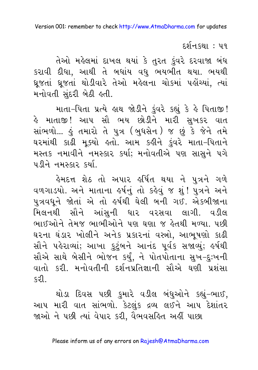દર્શનકથા : ૫૧

તેઓ મહેલમાં દાખલ થયાં કે તુરત કુંવરે દરવાજા બંધ કરાવી દીધા, આથી તે બધાંય વધુ ભયભીત થયા. ભયથી ધ્રુજતાં ધ્રૂજતાં થોડીવારે તેઓ મહેલના ચોકમાં પહોંચ્યાં, ત્યાં મનોવતી સુંદરી બેઠી હતી.

માતા-પિતા પ્રત્યે હાથ જોડીને કુંવરે કહ્યું કે હે પિતાજી! હે માતાજી! આપ સૌ ભય છોડીને મારી સુખક<mark>ર</mark> વાત સાંભળો... કું તમારો તે પુત્ર (બુધસેન) જ છું કે જેને તમે ઘરમાંથી કાઢી મુક્યો હતો. આમ કહીને કુંવરે માતા-પિતાને મસ્તક નમાવીને નમસ્કાર કર્યા; મનોવતીએ પણ સાસને પગે <u>પડીને નમસ્કાર કર્યા.</u>

હેમદત્ત શેઠ તો અપાર હર્ષિત થયા ને પુત્રન<mark>ે</mark> ગળે વળગાડયો. અને માતાના હર્ષનું તો કહેવું જ શું ! પુત્રને અને પુત્રવધૂને જોતાં એ તો હર્ષથી ઘેલી બની ગઈ. એકબીજાના મિલનથી સૌને આંસુની ધાર વરસવા લાગી. વડીલ ભાઈઓને તેમજ ભાભીઓને પણ ઘણા જ હેતથી મળ્યા. પછી ઘરના ઘંડાર ખોલીને અનેક પ્રકારનાં વસ્ત્રો. આભૂષણો કાઢી સૌને પહેરાવ્યાં; આખા કુટુંબને આનંદ પૂર્વક સજાવ્યું; હર્ષથી સૌએ સાથે બેસીને ભોજન કર્યું, ને પોતપોતાના સુખ-દુઃખની વાતો કરી. મનોવતીની દર્શનપ્રતિજ્ઞાની સૌએ ઘણી પ્રશંસા รฺิจใ

થોડા દિવસ પછી કુમારે વડીલ બંધુઓને કહ્યું-ભાઈ, આપ મારી વાત સાંભળો. કેટલુંક દ્રવ્ય લઈને આપ દેશાંતર જાઓ ને પછી ત્યાં વેપાર કરી, વૈભવસહિત અહીં પાછા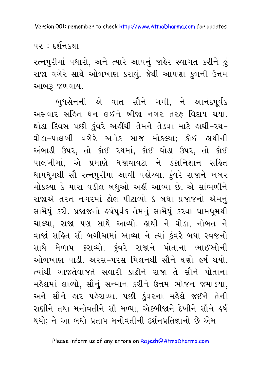<u>પર : દર્શનકથા</u>

રત્નપુરીમાં પધારો, અને ત્યારે આપનું જાહેર સ્વાગત કરીને હું રાજા વગેરે સાથે ઓળખાણ કરાવું. જેથી આપણા કુળની ઉત્તમ આબરૂ જળવાય.

બુધસેનની એ વાત સૌને ગમી, ને આનંદપૂર્વક અસવાર સહિત ધન લઈને બીજા નગર તરફ વિદાય થયા. થોડા દિવસ પછી કંવરે અહીંથી તેમને તેડવા માટે હાથી-રથ-ઘોડા-પાલખી વગેરે અનેક સાજ મોકલ્યા; કોઈ લથીની અંબાડી ઉપર, તો કોઈ રથમાં, કોઈ ઘોડા ઉપર, તો કોઈ પાલખીમાં. એ પ્રમાણે ધજાવાવટા ને ડંકાનિશાન સહિત ધામધુમથી સૌ રત્નપુરીમાં આવી પહોંચ્યા. કુંવરે રાજાને ખબર મોકલ્યા કે મારા વડીલ બંધઓ અહીં આવ્યા છે. એ સાંભળીને રાજાએ તરત નગરમાં ઢોલ પીટાવ્યો કે બધા પ્રજાજનો એમનું સામૈયું કરો. પ્રજાજનો હર્ષપૂર્વક તેમનું સામૈયું કરવા ધામધુમથી ચાલ્યા, રાજા પણ સાથે આવ્યો. હાથી ને ઘોડા, નોબત ને વાજાં સહિત સૌ બગીચામાં આવ્યા ને ત્યાં કુંવરે બધા સ્વજનો સાથે મેળાપ કરાવ્યો. કંવરે રાજાને પોતાના ભાઈઓની ઓળખાણ પાડી. અરસ-પરસ મિલનથી સૌને ઘણો હર્ષ થયો. ત્યાંથી ગાજતેવાજતે સવારી કાઢીને રાજા તે સૌને પોતાના મહેલમાં લાવ્યો, સૌનું સન્માન કરીને ઉત્તમ ભોજન જમાડયા, અને સૌને હાર પહેરાવ્યા. પછી કુંવરના મહેલે જઈને તેની રાણીને તથા મનોવતીને સૌ મળ્યા. એકબીજાને દેખીને સૌને ઙ્રર્ષ થયો; ને આ બધો પ્રતાપ મનોવતીની દર્શનપ્રતિજ્ઞાનો છે એમ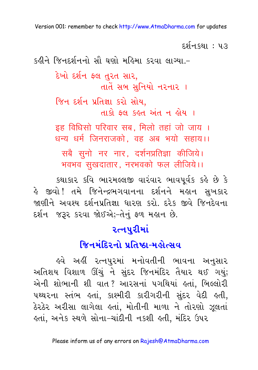દર્શનકથા : ૫૩ કઢીને જિનદર્શનનો સૌ ઘણો મહિમા કરવા લાગ્યા.-દેખો દર્શન ફલ તુરત સાર, તાતેં સબ સુનિયો નરનાર । જિન દર્શન પ્રતિજ્ઞા કરો સોય. તાકો કલ કહત અંત ન હોય । इह विधिसो परिवार सब, मिलो तहां जो जाय । धन्य धर्म जिनराजको वह अब भयो सहाय।। सबै सुनो नर नार, दर्शनप्रतिज्ञा कीजिये। भवभव सुखदातार, नरभवको फल लीजिये।।

કથાકાર કવિ ભારમલ્લજી વારંવાર ભાવપૂર્વક કહે છે કે હે જીવો! તમે જિનેન્દ્રભગવાનના દર્શનને મ<mark>લાન સુખકાર</mark> જાણીને અવશ્ય દર્શનપ્રતિજ્ઞા ધારણ કરો. દરેક જીવે જિનદેવના દર્શન જરૂર કરવા જોઈએ;-તેનું ફળ મહાન છે.

### **રત્નપુરીમાં**

### જિનમંદિરનો પ્રતિષ્ઠા-મહોત્સવ

હવે અહીં રત્નપુરમાં મનોવતીની ભાવના અનુસાર અતિશય વિશાળ ઊંચું ને સુંદર જિનમંદિર તૈયાર થઈ ગયું; એની શોભાની શી વાત? આરસનાં પગથિયાં હતાં, બિલ્લોરી પથ્થરના સ્તંભ હતાં, કાશ્મીરી કારીગરીની સુંદર વેદી હતી, ઠેરઠેર અરીસા લાગેલા હતાં, મોતીની માળા ને તોરણો ઝૂલતાં લ્તાં, અનેક સ્થળે સોના−ચાંદીની નકશી લ્તી, મંદિર ઉપર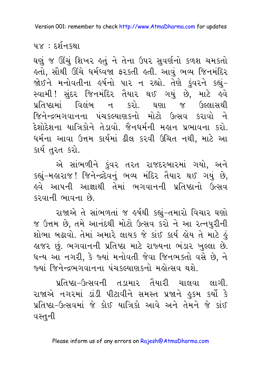$4x : 59$ नि ह्था

ઘણું જ ઊંચું શિખર હતું ને તેના ઉપર સુવર્ણનો કળશ ચમકતો કતો, સૌથી ઊંચે ધર્મધ્વજા ફરકતી કતી. આવું ભવ્ય જિનમંદિર જોઈને મનોવતીના હર્ષનો પાર ન રહ્યો. તેણે કુંવરને કહ્યું-સ્વામી ! સુંદર જિનમંદિર તૈયાર થઈ ગયું છે, માટે હવે પ્રતિષ્ઠામાં વિલંબ ન કરો. ઘણા જ ઉલ્લાસથી જિનેન્દ્રભગવાનના પંચકલ્યાણકનો મોટો ઉત્સવ કરાવો ને દેશોદેશના યાત્રિકોને તેડાવો. જૈનધર્મની મહાન પ્રભાવના કરો. ધર્મના આવા ઉત્તમ કાર્યમાં ઢીલ કરવી ઉચિત નથી, માટે આ કાર્યતુરત કરો.

એ સાંભળીને કુંવર તરત રાજદરબારમાં ગયો, અને કહ્યું-મહારાજ! જિનેન્દ્રદેવનું ભવ્ય મંદિર તૈયાર થઈ ગયું છે, <u>ઢવે આપની આજ્ઞાથી તેમાં ભગવાનની પ્રતિષ્ઠાનો ઉત્સવ</u> કરવાની ભાવના છે.

રાજાએ તે સાંભળતાં જ ઙર્ષથી કહ્યું−તમારો વિચાર ઘણો જ ઉત્તમ છે, તમે આનંદથી મોટો ઉત્સવ કરો ને આ રત્નપુરીની શોભા બઢાવો. તેમાં અમારે લાયક જે કાંઈ કાર્ય હોય તે માટે હું હાજર છું. ભગવાનની પ્રતિષ્ઠા માટે રાજ્યના ભંડાર ખુલ્લા છે. ધન્ય આ નગરી, કે જ્યાં મનોવતી જેવા જિનભક્તો વસે છે, ને જ્યાં જિનેન્દ્રભગવાનના પંચકલ્યાણકનો મહોત્સવ થશે.

પ્રતિષ્ઠા-ઉત્સવની તડામાર તૈયારી ચાલવા લાગી. રાજાએ નગરમાં ડાંડી પીટાવીને સમસ્ત પ્રજાને હુકમ કર્યો કે પ્રતિષ્ઠા-ઉત્સવમાં જે કોઈ યાત્રિકો આવે અને તેમને જે કાંઈ વસ્તુની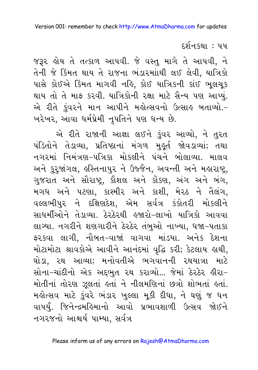દર્શનકથા : ૫૫

જરૂર હોય તે તત્કાળ આપવી. જે વસ્તુ માગે તે આપવી, ને તેની જે કિંમત થાય તે રાજના ભંડારમાંાથી લઈ લેવી, યાત્રિકો પાસે કોઈએ કિંમત માગવી નહિ, કોઈ યાત્રિકની કાંઈ ભુલચુક થાય તો તે માફ કરવી. યાત્રિકોની રક્ષા માટે સૈન્ય પણ આપ્યું. એ રીતે કુંવરને માન આપીને મહોત્સવનો ઉત્સાહ બતાવ્યો.-ખરેખર, આવા ધર્મપ્રેમી નૃપતિને પણ ધન્ય છે.

એ રીતે રાજાની આજ્ઞા લઈને કુંવર આવ્યો, ને તુરત પંડિતોને તેડાવ્યા, પ્રતિષ્ઠાનાં મંગળ મુક્ર્ત જોવડાવ્યાં; તથા નગરમાં નિમંત્રણ-પત્રિકા મોકલીને પંચને બોલાવ્યા. માલવ અને કુરૂજાંગલ, હસ્તિનાપુર ને ઉજ્જૈન, અવન્તી અને મહારાષ્ટ્ર, ગુજરાત અને સૌરાષ્ટ્ર, કૌશલ અને કોંકણ, અંગ અને બંગ, મગધ અને પટણા, કાશ્મીર અને કાશી, મેરઠ ને તૈલંગ, વલ્લભીપુર ને દક્ષિણદેશ, એમ સર્વત્ર કંકોતરી મોકલીને સાધર્મીઓને તેડાવ્યા. ઠેરઠેરથી હજારો-લાખો યાત્રિકો આવવા લાગ્યા. નગરીને શણગારીને ઠેરઠેર તંબુઓ નાખ્યા, ધજા-પતાકા ફરકવા લાગી, નૌબત-વાજાં વાગવા માંડયા. અનેક દેશના મોટામોટા શ્રાવકોએ આવીને આનંદમાં વૃદ્ધિ કરી; કેટલાય હાથી, ઘોડા, ૨થ આવ્યા; મનોવતીએ ભગવાનની ૨થયાત્રા માટે સોના–ચાંદીનો એક અદ્દભુત ૨થ કરાવ્યો... જેમાં ઠેરઠેર હીરા– મોતીનાં તોરણ ઝૂલતાં હતાં ને નીલમણિનાં છત્રો શોભતાં હતાં. મહોત્સવ માટે કુંવરે ભંડાર ખુલ્લા મૂકી દીધા, ને ઘણું જ ધન વાપર્યું. જિનેન્દ્રમહિમાનો આવો પ્રભાવશાળી ઉત્સવ જોઈને નગરજનો આશ્ચર્ય પામ્યા. સર્વત્ર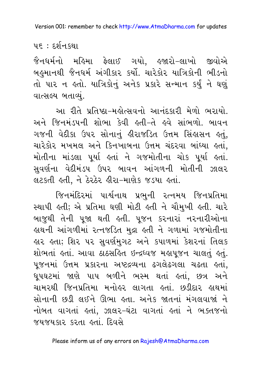### પદ : દર્શનકથા

જૈનધર્મનો મહિમા ફેલાઈ ગયો. હજારો-લાખો જીવોએ બહુમાનથી જૈનધર્મ અંગીકાર કર્યો. ચારેકોર યાત્રિકોની ભીડનો તો પાર ન હતો. યાત્રિકોનું અનેક પ્રકારે સન્માન કર્યું ને ઘણું વાત્સલ્ય બતાવ્યું.

આ રીતે પ્રતિષ્ઠા-મહોત્સવનો આનંદકારી મેળો ભરાયો. અને જિનમંડપની શોભા કેવી હતી-તે હવે સાંભળો. બાવન ગજની વેદીકા ઉપર સોનાનું હીરાજડિત ઉત્તમ સિંહાસન હતું, ચારેકોર મખમલ અને કિનખાબના ઉત્તમ ચંદરવા બાંધ્યા હતાં, મોતીના માંડલા પૂર્યા હતાં ને ગજમોતીના ચોક પૂર્યા હતાં. સુવર્ણના વેદીમંડપ ઉપર બાવન આંગળની મોતીની ઝાલર લટકતી હતી, ને ઠેરઠેર હીરા-માણેક જડયા હતાં.

જિનમંદિરમાં પાર્શ્વનાથ પ્રભુની રત્નમય જિનપ્રતિમા સ્થાપી હતી; એ પ્રતિમા ઘણી મોટી હતી ને ચૌમુખી હતી. ચારે બાજુથી તેની પુજા થતી હતી. પુજન કરનારાં નરનારીઓના હાથની આંગળીમાં રત્નજડિત મુદ્રા હતી ને ગળામાં ગજમોતીના હાર હતા; શિર પર સુવર્ણમુગટ અને કપાળમાં કેશરનાં તિલક શોભતાં હતાં. આવા ઠાઠસહિત ઇન્દ્રધ્વજ મહાપૂજન ચાલતું હતું. પુજનમાં ઉત્તમ પ્રકારના અષ્ટદ્રવ્યના ઢગલેઢગલા ચઢતા હતાં, ધૂપઘટમાં જાણે પાપ બળીને ભસ્મ થતાં હતાં, છત્ર અને ચામરથી જિનપ્રતિમા મનોહર લાગતા હતાં. છડીદાર હાથમાં સોનાની છડી લઈને ઊભા હતા. અનેક જાતનાં મંગલવાજાં ને નોબત વાગતાં હતાં, ઝાલર-ઘંટા વાગતાં હતાં ને ભક્તજનો જયજયકાર કરતા હતાં. દિવસે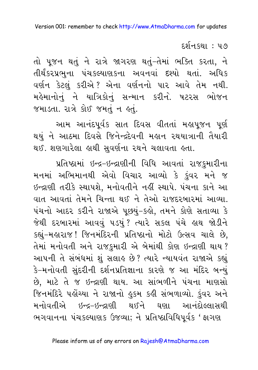દર્શનકથા : ૫૭

તો પુજન થતું ને રાત્રે જાગરણ થતું-તેમાં ભક્તિ કરતા, ને તીર્થંકરપ્રભુના પંચકલ્યાણકના અવનવાં દશ્યો થતાં. અધિક વર્ણન કેટલું કરીએ? એના વર્ણનનો પાર આવે તેમ નથી. મહેમાનોનું ને યાત્રિકોનું સન્માન કરીને. ષટરસ ભોજન જમાડતા. રાત્રે કોઈ જમતું ન કતું.

આમ આનંદપૂર્વક સાત દિવસ વીતતાં મહાપૂજન પૂર્ણ થયું ને આઠમા દિવસે જિનેન્દ્રદેવની મહાન રથયાત્રાની તૈયારી થઈ. શણગારેલા હાથી સુવર્ણના રથને ચલાવતા હતા.

પ્રતિષ્ઠામાં ઇન્દ્ર-ઇન્દ્રાણીની વિધિ આવતાં રાજકુમારીના મનમાં અભિમાનથી એવો વિચાર આવ્યો કે કુંવર મને જ ઇન્દ્રાણી તરીકે સ્થાપશે, મનોવતીને નહીં સ્થાપે. પંચના કાને આ વાત આવતાં તેમને ચિન્તા થઈ ને તેઓ રાજદરબારમાં આવ્યા. પંચનો આદર કરીને રાજાએ પૂછયું-કહો, તમને કોણે સતાવ્યા કે જેથી દરબારમાં આવવું ૫ડયું? ત્યારે સકલ પંચે હાથ જોડીને કહ્યું-મહારાજ! જિનમંદિરની પ્રતિષ્ઠાનો મોટો ઉત્સવ ચાલે છે, તેમાં મનોવતી અને રાજકુમારી એ બેમાંથી કોણ ઇન્દ્રાણી થાય? આપની તે સંબંધમાં શું સલાહ છે? ત્યારે ન્યાયવંત રાજાએ કહ્યું કે-મનોવતી સુંદરીની દર્શનપ્રતિજ્ઞાના કારણે જ આ મંદિર બન્યું છે, માટે તે જ ઇન્દ્રાણી થાય. આ સાંભળીને પંચના માણસો જિનમંદિરે પહોંચ્યા ને રાજાનો હુકમ કહી સંભળાવ્યો. કુંવર અને મનોવતીએ ઇન્દ્ર-ઇન્દ્રાણી થઈને ઘણા આનંદોલ્લાસથી ભગવાનના પંચકલ્યાણક ઉજવ્યા; ને પ્રતિષ્ઠાવિધિપૂર્વક 'ફાગણ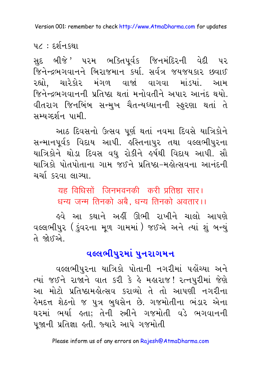૫૮ : દર્શનકથા

સુદ બીજે ' પ૨મ ભક્તિપૂર્વક જિનમંદિ૨ની વેદી પ૨ જિનેન્દ્રભગવાનને બિરાજમાન કર્યા. સર્વત્ર જયજયકાર છવાઈ રહ્યો, ચારેકોર મંગળ વાજાં વાગવા માંડયાં. આમ જિનેન્દ્રભગવાનની પ્રતિષ્ઠા થતાં મનોવતીને અપાર આનંદ થયો. વીતરાગ જિનબિંબ સન્મખ ચૈતન્યધ્યાનની સ્ફરણા થતાં તે સમ્યગ્દર્શન પામી.

આઠ દિવસનો ઉત્સવ પૂર્ણ થતાં નવમા દિવસે યાત્રિકોને સન્માનપૂર્વક વિદાય આપી. હસ્તિનાપુર તથા વલ્લભીપુરના યાત્રિકોને થોડા દિવસ વધ રોકીને ઙર્ષથી વિદાય આપી. સૌ યાત્રિકો પોતપોતાના ગામ જઈને પ્રતિષ્ઠા-મહોત્સવના આનંદની ચર્ચા કરવા લાગ્યા.

> यह विधिसों जिनभवनकी करी प्रतिष्ठा सार। धन्य जन्म तिनको अबै. धन्य तिनको अवतार।।

<u>ઢવે આ કથાને અહીં ઊભી રાખીને ચાલો આપણે</u> વલ્લભીપુર (કુંવરના મૂળ ગામમાં) જઈએ અને ત્યાં શું બન્યું તે જોક્દએ

### વલ્લભીપુરમાં પુનરાગમન

વલ્લભીપુરના યાત્રિકો પોતાની નગરીમાં પહોંચ્યા અને ત્યાં જઈને રાજાને વાત કરી કે હે મહારાજ! રત્નપુરીમાં જેણે આ મોટો પ્રતિષ્ઠામહોત્સવ કરાવ્યો તે તો આપણી નગરીના હેમદત્ત શેઠનો જ પુત્ર બુધસેન છે. ગજમોતીના ભંડા<mark>ર</mark> એના ઘરમાં ભર્યા હતા: તેની સ્ત્રીને ગજમોતી વડે ભગવાનની પુજાની પ્રતિજ્ઞા હતી. જ્યારે આપે ગજમોતી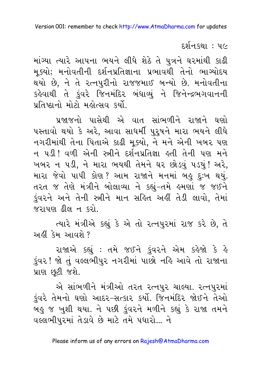દર્શનકથા : ૫૯

માંગ્યા ત્યારે આપના ભયને લીધે શેઠે તે પુત્રને ઘરમાંથી કાઢી મુક્યો; મનોવતીની દર્શનપ્રતિજ્ઞાના પ્રભાવથી તેનો ભાગ્યોદય થયો છે, ને તે રત્નપુરીનો રાજજમાઈ બન્યો છે. મનોવતીના કહેવાથી તે ડુંવરે જિનમંદિર બંધાવ્યું ને જિનેન્દ્રભગવાનની પ્રતિષ્ઠાનો મોટો મહોત્સવ કર્યો.

પ્રજાજનો પાસેથી એ વાત સાંભળીને રાજાને ઘણો પસ્તાવો થયો કે અરે, આવા સાધર્મી પુરૂષને મારા ભયને લીધે નગરીમાંથી તેના પિતાએ કાઢી મુક્યો, ને મને એની ખબર પણ ન પડી ! વળી એની સ્ત્રીને દર્શનપ્રતિજ્ઞા ક્રતી તેની પણ મને ખબર ન પડી, ને મારા ભયથી તેમને ઘર છોડવું પડયું! અરે, મારા જેવો પાપી કોણ? આમ રાજાને મનમાં બઙ દઃખ થયું. તરત જ તેણે મંત્રીને બોલાવ્યા ને કહ્યું-તમે હુમણાં જ જઈને કુંવરને અને તેની સ્ત્રીને માન સહિત અહીં તેડી લાવો. તેમાં જરાપણ ઢીલ ન કરો.

ત્યારે મંત્રીએ કહ્યું કે એ તો રત્નપુરમાં રાજ કરે છે, તે અહીં કેમ આવશે ?

રાજાએ કહ્યું : તમે જઈને કુંવરને એમ કહેજો કે હે કુંવર! જો તું વલ્લભીપુર નગરીમાં પાછો નહિ આવે તો રાજાના પ્રાણ છૂટી જશે.

એ સાંભળીને મંત્રીઓ તરત રત્નપુર ચાલ્યા. રત્નપુરમાં કુંવરે તેમનો ઘણો આદર-સત્કાર કર્યો. જિનમંદિર જોઈને તેઓ બહુ જ ખુશી થયા. ને પછી કુંવરને મળીને કહ્યું કે રાજા તમને વલ્લભીપુરમાં તેડાવે છે માટે તમે પધારો... ને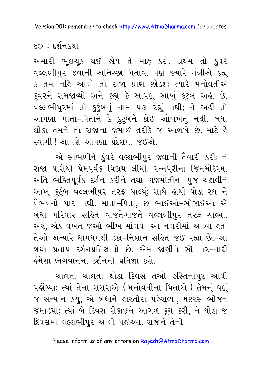$\epsilon$ ૦ : દર્શનકથા

અમારી ભૂલચૂક થઈ હોય તે માફ કરો. પ્રથમ તો કુંવરે વલ્લભીપુર જવાની અનિચ્છા બતાવી પણ જ્યારે મંત્રીએ કહ્યું કે તમે નહિ આવો તો રાજા પ્રાણ છોડશે; ત્યારે મનોવતીએ કુંવરને સમજાવ્યો અને કહ્યું કે આપણું આખું કુટુંબ અહીં છે, વલ્લભીપુરમાં તો કુટુંબનું નામ પણ રહ્યું નથી; ને અહીં તો આપણાં માતા-પિતાને કે કુટુંબને કોઈ ઓળખતું નથી. બધા લોકો તમને તો રાજાના જમાઈ તરીકે જ ઓળખે છે; માટે હે સ્વામી ! આપણે આપણા પ્રદેશમાં જઈએ.

એ સાંભળીને કુંવરે વલ્લભીપુર જવાની તૈયારી કરી; ને રાજા પાસેથી પ્રેમપૂર્વક વિદાય લીધી. રત્નપુરીના જિનમંદિરમાં અતિ ભક્તિપૂર્વક દર્શન કરીને તથા ગજમોતીના પુંજ ચઢાવીને આખું કુટુંબ વલ્લભીપુર તરફ ચાલ્યું; સાથે હાથી-ઘોડા-રથ ને વૈભવનો પાર નથી. માતા-પિતા, છ ભાઈઓ-ભોજાઈઓ એ બધા પરિવાર સહિત વાજતેગાજતે વલ્લભીપુર તરફ ચાલ્યા. અરે, એક વખત જેઓ ભીખ માંગવા આ નગરીમાં આવ્યા હતા તેઓ અત્યારે ધામધૂમથી ડંકા-નિશાન સહિત જઈ રહ્યા છે,-આ બધો પ્રતાપ દર્શનપ્રતિજ્ઞાનો છે. એમ જાણીને સૌ નર-નારી ઢંમેશા ભગવાનના દર્શનની પ્રતિજ્ઞા કરો.

ચાલતાં ચાલતાં થોડા દિવસે તેઓ હસ્તિનાપુર આવી પહોંચ્યા; ત્યાં તેના સસરાએ (મનોવતીના પિતાએ ) તેમનું ઘણું જ સન્માન કર્યું, એ બધાને હારતોરા પહેરાવ્યા, ષટરસ ભોજન જમાડયા; ત્યાં બે દિવસ રોકાઈને આગળ કૂચ કરી, ને થોડા જ દિવસમાં વલ્લભીપુર આવી પહોંચ્યા. રાજાને તેની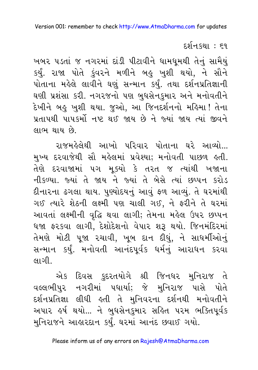દર્શન.કથા : ૬૧

ખબર પડતાં જ નગરમાં દાંડી પીટાવીને ધામધૂમથી તેનું સામૈયું કર્યું. રાજા પોતે કુંવરને મળીને બહુ ખુશી થયો, ને સૌને પોતાના મહેલે લાવીને ઘણું સન્માન કર્યું. તથા દર્શનપ્રતિજ્ઞાની ઘણી પ્રશંસા કરી. નગરજનો પણ બુધસેનુકમાર અને મનોવતીને દેખીને બહુ ખુશી થયા. જુઓ, આ જિનદર્શનનો મહિમા ! તેના પ્રતાપથી પાપકર્મો નષ્ટ થઈ જાય છે ને જ્યાં જાય ત્યાં જીવને લાભ થાય છે.

રાજમહેલેથી આખો પરિવાર પોતાના ઘરે આવ્યો... મુખ્ય દરવાજેથી સૌ મહેલમાં પ્રવેશ્યા; મનોવતી પાછળ હતી. તેણે દરવાજામાં ૫ગ મૂક્યો કે તરત જ ત્યાંથી ખજાના નીકળ્યા. જ્યાં તે જાય ને જ્યાં તે બેસે ત્યાં છપ્પન કરોડ દીનારના ઢગલા થાય. પુણ્યોદયનું આવું ફળ આવ્યું. તે ઘરમાંથી ગઈ ત્યારે શેઠની લક્ષ્મી પણ ચાલી ગઈ, ને ફરીને તે ઘરમાં આવતાં લક્ષ્મીની વૃદ્ધિ થવા લાગી; તેમના મહેલ ઉપર છપ્પન ધજા ફરકવા લાગી, દેશોદેશનો વેપાર શરૂ થયો. જિનમંદિરમાં તેમણે મોટી પૂજા ૨ચાવી, ખૂબ દાન દીધું, ને સાધર્મીઓનું સન્માન કર્યું. મનોવતી આનંદપૂર્વક ધર્મનું આરાધન કરવા લાગી

એક દિવસ કુદરતયોગે શ્રી જિનધર મુનિરાજ તે વલ્લભીપુર નગરીમાં પધાર્યા; જે મુનિરાજ પાસે પોતે દર્શનપ્રતિજ્ઞા લીધી હતી તે મુનિવરના દર્શનથી મનોવતીને અપાર હર્ષ થયો... ને બુધસેનકુમાર સહિત પરમ ભક્તિપૂર્વક મુનિરાજને આહારદાન કર્યું. ઘરમાં આનંદ છવાઈ ગયો.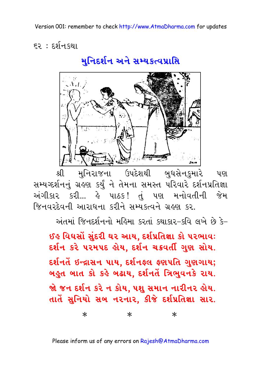૬૨ : દર્શનકથા

મુનિદર્શન અને સમ્યકત્વપ્રાપ્તિ



મુનિરાજના ઉપદેશથી બુધસેનકમારે શ્રી પણ સમ્યગ્દર્શનનું ગ્રહણ કર્યું ને તેમના સમસ્ત પરિવારે દર્શનપ્રતિજ્ઞા અંગીકાર કરી... હે પાઠક! તું પણ મનોવતીની જેમ જિનવરદેવની આરાધના કરીને સમ્યક્ત્વને ગ્રહણ કર.

અંતમાં જિનદર્શનનો મહિમા કરતાં કથાકાર-કવિ લખે છે કે-

ઈઙ વિઘસોં સંદરી ઘર આય. દર્શપ્રતિજ્ઞા કો પરભાવઃ દર્શન કરે ૫૨મ૫દ હોય, દર્શન ચક્રવર્તી ગુણ સોય. દર્શનતે ઇન્દ્રાસન પાય. દર્શનફ્લ ફ્રણપતિ ગુણગાય; બહુત બાત કો કહે બઢાય, દર્શનતેં ત્રિભુવનકે રાય. જો જન દર્શન કરે ન કોય, પશુ સમાન નારીનર હોય. તાતે સુનિયો સબ નરનાર. કીજે દર્શપ્રતિજ્ઞા સાર.

> $\ast$  $\ast$  $\ast$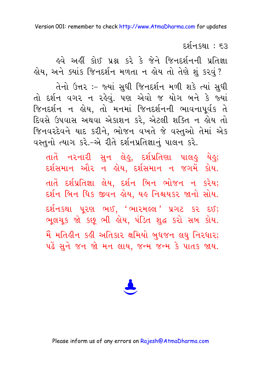દર્શન કથા : ૬૩

ઢવે અહીં કોઈ પ્રશ્ન કરે કે જેને જિનદર્શનની પ્રતિજ્ઞા હોય, અને ક્યાંક જિનદર્શન મળતા ન હોય તો તેણે શું કરવું?

તેનો ઉત્તર :- જ્યાં સુધી જિનદર્શન મળી શકે ત્યાં સુધી તો દર્શન વગર ન રહેવું. પણ એવો જ યોગ બને કે જ્યાં જિનદર્શન ન હોય, તો મનમાં જિનદર્શનની ભાવનાપૂર્વક તે દિવસે ઉપવાસ અથવા એકાશન કરે, એટલી શક્તિ ન હોય તો જિનવરદેવને યાદ કરીને, ભોજન વખતે જે વસ્તુઓ તેમાં એક વસ્તુનો ત્યાગ કરે.-એ રીતે દર્શનપ્રતિજ્ઞાનું પાલન કરે.

તાતેં નરનારી સુન લેહુ, દર્શપ્રતિણા પાલહુ યેહુ; દર્શસમાન ઔર ન હોય, દર્શસમાન ન જગમેં કોય. તાતે દર્શપ્રતિજ્ઞા લેય, દર્શન બિન ભોજન ન કરેય; દર્શન બિન ધિક જીવન હોય, યહ નિશ્ચયકર જાનો સોય. દર્શનકથા પુરણ ભઈ, 'ભારમલ્લ' પ્રગટ કર દઈ; ભુલચૂક જો કછુ ભી હોય, પંડિત શુદ્ધ કરો સબ કોય. મૈં મતિહીન કહી અતિકાર ક્ષમિયો બુધજન લઘુ નિરધાર; પહેં સને જન જો મન લાય. જન્મ જન્મ કે પાતક જાય.

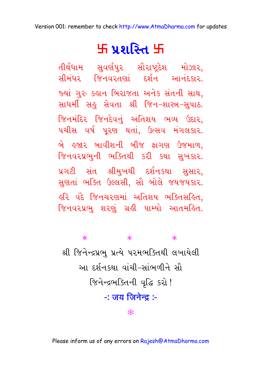# र्म प्रशस्ति म

તીર્થધામ સુવર્ણપુર સૌરાષ્ટ્રદેશ મોઝાર, <u> . सीमंधर क्षिनवरतेलां दर्शन आनंदशर</u> જ્યાં ગુરુ કહાન બિરાજતા અનેક સંતની સાથ, સાધર્મી સહુ સેવતા શ્રી જિન-શાસ્ત્ર-સુપાઠ. જિનમંદિર જિનદેવનું અતિશય ભવ્ય ઉદાર, પચીસ વર્ષ પૂરણ થતાં, ઉત્સવ મંગલકાર. બે હુજાર બાવીશની બીજ ફાગણ ઉજમાળ. જિનવરપ્રભુની ભક્તિથી કરી કથા સુખકાર. પ્રગટી સંત શ્રીમુખથી દર્શનકથા સુસાર, સુણતાં ભક્તિ ઉલ્લસી, સૌ બોલે જયજયકાર. કરિ વંદે જિનચરણમાં અતિશય ભક્તિસકિત. જિનવરપ્રભુ શરણું ગ્રહી પામ્યો આતમહિત.

### $\ast$  $\ast$  $\ast$ શ્રી જિનેન્દ્રપ્રભ પ્રત્યે પરમભક્તિથી લખાયેલી આ દર્શનકથા વાંચી-સાંભળીને સૌ જિનેन्द्रભક્તિની વૃદ્ધિ કરો! <u>-: जय जिनेन्द :-</u>

₩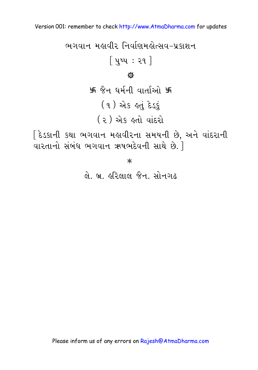[ દેડકાની કથા ભગવાન મહાવીરના સમયની છે, અને વાંદરાની  $\overline{\text{u}}$ રતાનો સંબંધ ભગવાન ઋષભદેવની સાથે છે.  $\overline{\text{j}}$ 

 $\ast$ 

લે. બ. હરિલાલ જૈન, સોનગઢ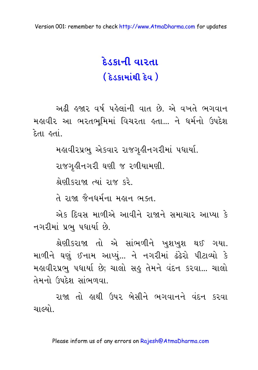## દેડકાની વારતા ( દેડકામાંથી દેવ )

અઢી હજાર વર્ષ પહેલાંની વાત છે. એ વખતે ભગવાન મહાવીર આ ભરતભૂમિમાં વિચરતા હતા... ને ધર્મનો ઉપદેશ દેતા હતાં..

મહાવીરપ્રભુ એકવાર રાજગઢીનગરીમાં પધાર્યા.

રાજગૃહીનગરી ઘણી જ રળીયામણી.

શ્રેણીકરાજા ત્યાં રાજ કરે

તે રાજા જૈનધર્મના મહાન ભક્ત.

એક દિવસ માળીએ આવીને રાજાને સમાચાર આપ્યા કે નગરીમાં પ્રભુ પધાર્યા છે.

શ્રેણીકરાજા તો એ સાંભળીને ખુશખુશ થઈ ગયા. માળીને ઘણું ઈનામ આપ્યું... ને નગરીમાં ઢંઢેરો પીટાવ્યો કે મહાવીરપ્રભુ પધાર્યા છે; ચાલો સહુ તેમને વંદન કરવા... ચાલો તેમનો ઉપદેશ સાંભળવા.

રાજા તો હાથી ઉપર બેસીને ભગવાનને વંદન કરવા ચાલ્યો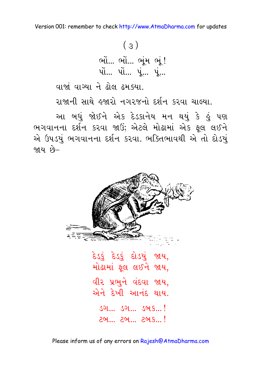વાજાં વાગ્યા ને ઢોલ ઢમ.ક્યા.

રાજાની સાથે હજારો નગરજનો દર્શન કરવા ચાલ્યા.

આ બધું જોઈને એક દેડકાનેય મન થયું કે હું પણ ભગવાનના દર્શન કરવા જાઉં; એટલે મોઢામાં એક ફૂલ લઈને એ ઉપડયું ભગવાનના દર્શન કરવા. ભક્તિભાવથી એ તો દોડયું જાય છે–



દેડકું દેડકું દોડયું જાય, મોઢામાં ફૂલ લઈને જાય, વીર પ્રભને વંદવા જાય. એને દેખી આનંદ થાય. <u> २५...</u> २७... २७. ..!

Please inform us of any errors on Rajesh@AtmaDharma.com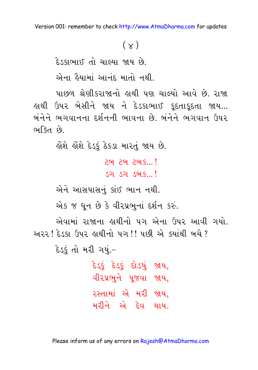### $(\chi)$

દેડકાભાઈ તો ચાલ્યા જાય છે.

એના હૈયામાં આનંદ માતો નથી.

પાછળ શ્રેણીકરાજાનો હાથી પણ ચાલ્યો આવે છે. રાજા હાથી ઉપર બેસીને જાય ને દેડકાભાઈ કૂદતાકૂદતા જાય... બંનેને ભગવાનના દર્શનની ભાવના છે. બંનેને ભગવાન ઉપર ભક્તિ છે.

લોશે લોશે દેડકું ઠેકડા મારતું જાય છે.

291 291 291 8...!

<u>ડગ ડગ ડબક...!</u>

એને આસપાસનું કાંઈ ભાન નથી.

એક જ ધૂન છે કે વીરપ્રભુનાં દર્શન કરું.

એવામાં રાજાના હાથીનો પગ એના ઉપર આવી ગયો. અરર દિડકા ઉપર હાથીનો પગ!! પછી એ ક્યાંથી બચે ?

દેડકું તો મરી ગયું.-

દેડકું દેડકું દોડયું જાય, વીરપ્રભુને પુજવા જાય, રસ્તામાં એ મરી જાય. મરીને એ દેવ થાય.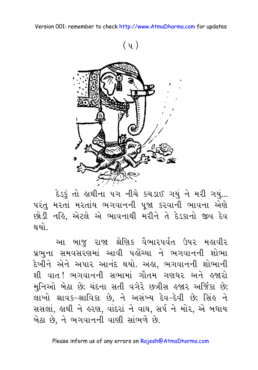

દેડકું તો હાથીના ૫ગ નીચે કચડાઈ ગયું ને મરી ગયું... પરંતુ મરતાં મરતાંય ભગવાનની પૂજા કરવાની ભાવના એણે છોડી નહિ, એટલે એ ભાવનાથી મરીને તે દેડકાનો જીવ દેવ થયો.

આ બાજુ રાજા શ્રેણિક વૈભારપર્વત ઉપર મહાવીર પ્રભના સમવસરણમાં આવી પહોંચ્યા ને ભગવાનની શોભા દેખીને એને અપાર આનંદ થયો. અહ્ય, ભગવાનની શોભાની શી વાત !ભગવાનની સભામાં ગૌતમ ગણધર અને હજારો મુનિઓ બેઠા છે; ચંદના સતી વગેરે છત્રીસ હજાર અર્જિકા છે; લાખો શ્રાવક-શ્રાવિકા છે, ને અસંખ્ય દેવ-દેવી છે; સિંહ ને સસલાં, હાથી ને હરણ, વાંદરાં ને વાઘ, સર્પ ને મોર, એ બધાય બેઠા છે, ને ભગવાનની વાણી સાંભળે છે.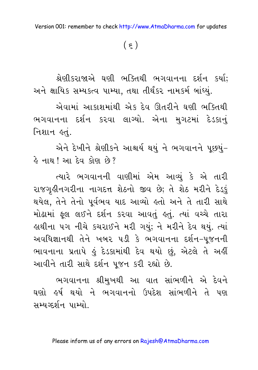$(\xi)$ 

શ્રેણીકરાજાએ ઘણી ભક્તિથી ભગવાનના દર્શન કર્યા; અને ક્ષાયિક સમ્યકત્વ પામ્યા, તથા તીર્થંકર નામકર્મ બાંધ્યું.

એવામાં આકાશમાંથી એક દેવ ઊતરીને ઘણી ભક્તિથી ભગવાનના દર્શન કરવા લાગ્યો. એના મુગટમાં દેડકાનું નિશાન હતં.

એને દેખીને શ્રેણીકને આશ્ચર્ય થયું ને ભગવાનને પૂછયું-હે નાથ ! આ દેવ કોણ છે?

ત્યારે ભગવાનની વાણીમાં એમ આવ્યું કે એ તારી રાજગૃહીનગરીના નાગદત્ત શેઠનો જીવ છે; તે શેઠ મરીને દેડ્ફું થયેલ, તેને તેનો પૂર્વભવ યાદ આવ્યો હતો અને તે તારી સાથે મોઢામાં ફુલ લઈને દર્શન કરવા આવતું હતું. ત્યાં વચ્ચે તારા હાથીના ૫ગ નીચે કચરાઈને મરી ગયું; ને મરીને દેવ થયું. ત્યાં અવધિજ્ઞાનથી તેને ખબર પડી કે ભગવાનના દર્શન-પુજનની ભાવનાના પ્રતાપે કું દેડકામાંથી દેવ થયો છું, એટલે તે અહીં આવીને તારી સાથે દર્શન પૂજન કરી રહ્યો છે.

ભગવાનના શ્રીમુખથી આ વાત સાંભળીને એ દેવને ઘણો હર્ષ થયો ને ભગવાનનો ઉપદેશ સાંભળીને તે પણ સમ્યગ્દર્શન પામ્યો.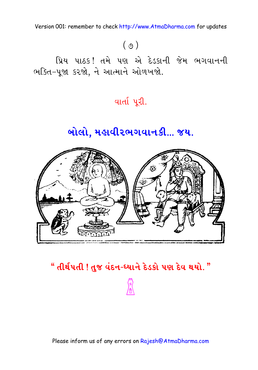## $(0)$

પ્રિય પાઠક! તમે પણ એ દેડકાની જેમ ભગવાનની ભક્તિ-પૂજા કરજો, ને આત્માને ઓળખજો.

#### વાર્તા પુરી.

## બોલો, મહાવીરભગવાનકી... જય.



#### " તીર્થપતી ! તુજ વંદન-ધ્યાને દેડકો પણ દેવ થયો. "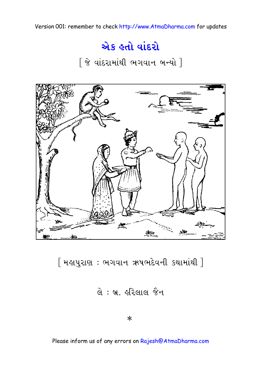## એક હતો વાંદરો

 $[$  જે વાંદરામાંથી ભગવાન બન્યો  $]$ 



 $[$  મહાપુરાણ: ભગવાન ઋષભદેવની કથામાંથી  $]\,\,$ 

 $d: 9.$  હરિલાલ જૈન

 $\ast$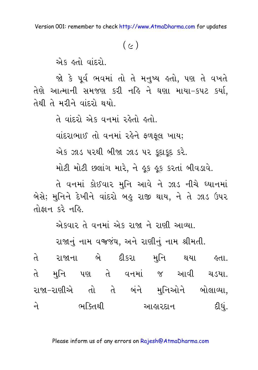#### $(c)$

એક હતો વાંદરો.

જો કે પૂર્વ ભવમાં તો તે મનુષ્ય હતો, પણ તે વખતે તેણે આત્માની સમજણ કરી નહિ ને ઘણા માયા-કપટ કર્યા. તેથી તે મરીને વાંદરો થયો.

તે વાંદરો એક વનમાં રહેતો હતો.

વાંદરાભાઈ તો વનમાં રહેને ફળફૂલ ખાય;

એક ઝાડ પરથી બીજા ઝાડ પર કૂદાકૂદ કરે.

મોટી મોટી છલાંગ મારે, ને ફુક ફુક કરતાં બીવડાવે.

તે વનમાં કોઈવાર મનિ આવે ને ઝાડ નીચે ધ્યાનમાં બેસે; મુનિને દેખીને વાંદરો બહુ રાજી થાય, ને તે ઝાડ ઉપર તોકાન કરે નહિ.

એકવાર તે વનમાં એક રાજા ને રાણી આવ્યા.

રાજાનું નામ વજજંઘ, અને રાણીનું નામ શ્રીમતી.

તે રાજાના બે દીકરા મુનિ થયા <mark>કતા</mark>. તે મુનિ પણ તે વનમાં જ આવી ચડયા. રાજા-રાણીએ તો તે બંને મુનિઓને બોલાવ્યા, ભક્તિથી આહારદાન દીધું. जे ।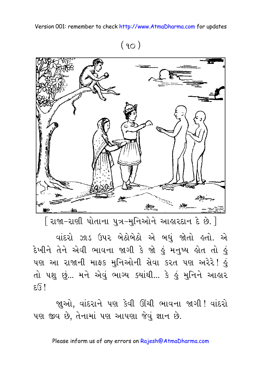$(90)$ 



[ રાજા-રાણી પોતાના પુત્ર-મુનિઓને આહારદાન દે છે. ]

વાંદરો ઝાડ ઉપર બેઠોબેઠો એ બધું જોતો હતો. એ દેખીને તેને એવી ભાવના જાગી કે જો હું મનુષ્ય હોત તો હું પણ આ રાજાની માફક મુનિઓની સેવા કરત પણ અરેરે! હું તો પશુ છું... મને એવું ભાગ્ય ક્યાંથી... કે હું મુનિને આહાર  $E(S)$ 

જાુઓ, વાંદરાને પણ કેવી ઊંચી ભાવના જાગી! વાંદરો પણ જીવ છે, તેનામાં પણ આપણા જેવું જ્ઞાન છે.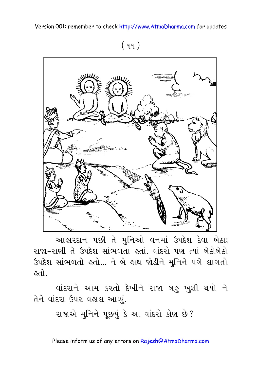$(99)$ 



આહારદાન પછી તે મુનિઓ વનમાં ઉપદેશ દેવા બેઠા; રાજા-રાણી તે ઉપદેશ સાંભળતા હતાં. વાંદરો પણ ત્યાં બેઠોબેઠો ઉપદેશ સાંભળતો હતો... ને બે હાથ જોડીને મુનિને પગે લાગતો હતો.

વાંદરાને આમ કરતો દેખીને રાજા બહુ ખુશી થયો ને તેને વાંદરા ઉપર વહાલ આવ્યું.

રાજાએ મુનિને પૂછયું કે આ વાંદરો કોણ છે?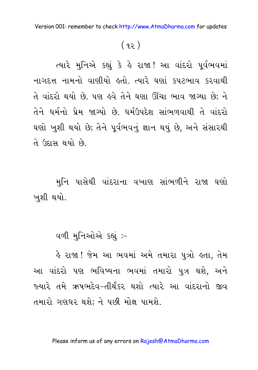#### $(92)$

ત્યારે મુનિએ કહ્યું કે હે રાજા! આ વાંદરો પૂર્વભવમાં નાગદત્ત નામનો વાણીયો હતો. ત્યારે ઘણાં કપટભાવ કરવાથી તે વાંદરો થયો છે. પણ ઙ્વે તેને ઘણા ઊંચા ભાવ જાગ્યા છે; ને તેને ધર્મનો પ્રેમ જાગ્યો છે. ધર્મઉપદેશ સાંભળવાથી તે વાંદરો ઘણો ખુશી થયો છે; તેને પૂર્વભવનું જ્ઞાન થયું છે, અને સંસારથી તે ઉદાસ થયો છે.

મુનિ પાસેથી વાંદરાના વખાણ સાંભળીને રાજા ઘણો ખુશી થયો.

વળી મુનિઓએ કહ્યું :-

હે રાજા ! જેમ આ ભવમાં અમે તમારા પુત્રો હતા, તેમ આ વાંદરો પણ ભવિષ્યના ભવમાં તમારો પુત્ર થશે, અને જ્યારે તમે ઋષભદેવ-તીર્થંકર થશો ત્યારે આ વાંદરાનો જીવ તમારો ગણધર થશે; ને પછી મોક્ષ પામશે.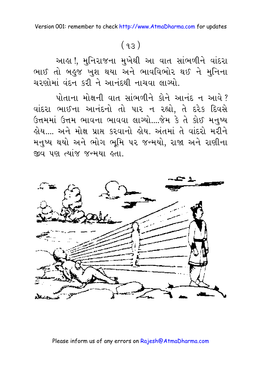## $(93)$

આહા !, મુનિરાજના મુખેથી આ વાત સાંભળીને વાંદરા ભાઈ તો બહુજ ખુશ થયા અને ભાવવિભોર થઈ ને મુનિના ચરણોમાં વંદન કરી ને આનંદથી નાચવા લાગ્યો.

પોતાના મોક્ષની વાત સાંભળીને કોને આનંદ ન આવે? વાંદરા ભાઈના આનંદનો તો પાર ન રહ્યો, તે દરેક દિવસે ઉત્તમમાં ઉત્તમ ભાવના ભાવવા લાગ્યો....જેમ કે તે કોઈ મનુષ્ય લેય… અને મોક્ષ પ્રાપ્ત કરવાનો લેય. અંતમાં તે વાંદરો મરીને મનુષ્ય થયો અને ભોગ ભૂમિ પર જન્મયો, રાજા અને રાણીના જીવ પણ ત્યાંજ જન્મયા હતા.

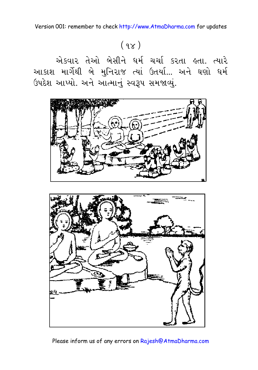# $(98)$

એકવાર તેઓ બેસીને ધર્મ ચર્ચા કરતા હતા. ત્યારે આકાશ માર્ગેથી બે મુનિરાજ ત્યાં ઉતર્યા... અને ઘણો ધર્મ ઉપદેશ આપ્યો. અને આત્માનું સ્વરૂપ સમજાવ્યું.



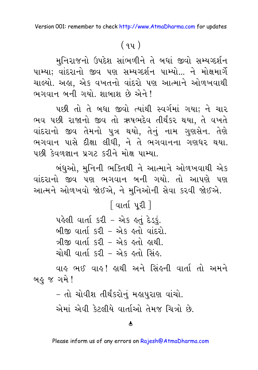#### $(94)$

મુનિરાજનો ઉપદેશ સાંભળીને તે બધાં જીવો સમ્યગ્દર્શન પામ્યા: વાંદરાનો જીવ પણ સમ્યગ્દર્શન પામ્યો... ને મોક્ષમાર્ગે ચાલ્યો. અહ્ય, એક વખતનો વાંદરો પણ આત્માને ઓળખવાથી ભગવાન બની ગયો. શાબાશ છે એને !

પછી તો તે બધા જીવો ત્યાંથી સ્વર્ગમાં ગયા; ને ચાર ભવ પછી રાજાનો જીવ તો ઋષભદેવ તીર્થંકર થયા. તે વખતે વાંદરાનો જીવ તેમનો પુત્ર થયો. તેનું નામ ગુણસેન. તેણે ભગવાન પાસે દીક્ષા લીધી, ને તે ભગવાનના ગણધર થયા. पछी देवणज्ञान प्रગट કરીને મોક્ષ પામ્યા.

બંધુઓ, મુનિની ભક્તિથી ને આત્માને ઓળખવાથી એક વાંદરાનો જીવ પણ ભગવાન બની ગયો. તો આપણે પણ આત્મને ઓળખવો જોઈએ, ને મુનિઓની સેવા કરવી જોઈએ.

િવાર્તા પરી ]

પહેલી વાર્તા કરી - એક હતું દેડકું. બીજી વાર્તા કરી – એક હતો વાંદરો. ત્રીજી વાર્તા કરી – એક હતો હાથી. ચોથી વાર્તા કરી – એક હતો સિંહ.

વાહ ભઈ વાહ! હાથી અને સિંહની વાર્તા તો અમને બહુ જ ગમે !

> - તો ચોવીશ તીર્થંકરોનું મહાપુરાણ વાંચો. એમાં એવી કેટલીયે વાર્તાઓ તેમજ ચિત્રો છે.

#### $\hat{\boldsymbol{\tau}}$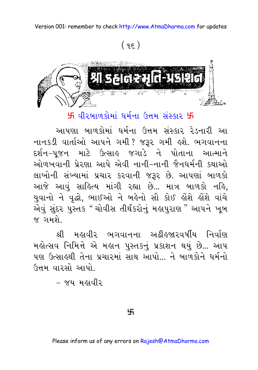$(95)$ 



 $H$  વીરબાળકોમાં ધર્મના ઉત્તમ સંસ્કાર  $H$ 

આપણા બાળકોમાં ધર્મના ઉત્તમ સંસ્કાર રેડનારી આ નાનકડી વાર્તાઓ આપને ગમી ? જરૂર ગમી હશે. ભગવાનના દર્શન–પુજન માટે ઉત્સાહ જગાડે ને પોતાના આત્માને ઓળખવાની પ્રેરણા આપે એવી નાની-નાની જૈનધર્મની કથાઓ લાખોની સંખ્યામાં પ્રચાર કરવાની જરૂર છે. આપણાં બાળકો આજે આવું સાહિત્ય માંગી રહ્યા છે... માત્ર બાળકો નહિ, યુવાનો ને વૃદ્ધો, ભાઈઓ ને બહેનો સૌ કોઈ હોંશે હોંશે વાંચે એવું સુંદર પુસ્તક "ચોવીસ તીર્થંકરોનું મહાપુરાણ " આપને ખૂબ જ ગમશે

શ્રી મહાવીર ભગવાનના અઢીહજારવર્ષીય નિર્વાણ મહોત્સવ નિમિત્તે એ મહાન પુસ્તકનું પ્રકાશન થયું છે... આપ પણ ઉત્સાહથી તેના પ્રચારમાં સાથ આપો... ને બાળકોને ધર્મનો ઉત્તમ વારસો આપો.

– જય મહાવીર

卐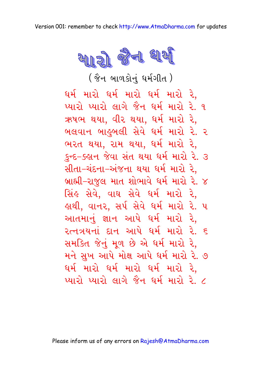

( જૈન બાળકોનું ધર્મગીત )

 $\mathfrak{g}$ ર્મ મારો પારો મારો રે. પ્યારો પ્યારો લાગે જૈન ધર્મ મારો રે. ૧ ઋષભ થયા, વીર થયા, ધર્મ મારો રે, બલવાન બાહુબલી સેવે ધર્મ મારો રે. ર ભરત થયા, રામ થયા, ધર્મ મારો રે, કુન્દ-ક્હાન જેવા સંત થયા ધર્મ મારો રે. ૩ સીતા–ચંદના–અંજના થયા ધર્મ મારો રે. બ્રાહ્મી–રાજુલ માત શોભાવે ધર્મ મારો રે. ૪ સિંહ સેવે, વાઘ સેવે ઘર્મ મારો રે, કાથી, વાનર, સર્પ સેવે ધર્મ મારો રે. પ આતમાનું જ્ઞાન આપે ધર્મ મારો રે, રત્નત્રયનાં દાન આપે ઘર્મ મારો રે. ૬ સમકિત જેનું મળ છે એ ઘર્મ મારો રે. મને સુખ આપે મોક્ષ આપે ધર્મ મારો રે. ૭  $\mathfrak{g}$ ર્મ મારો ઘરની મારો રે,  $\mathcal{P}(\mathcal{X})$ ાચારો લાગે જૈન ધર્મ મારો રે. ૮